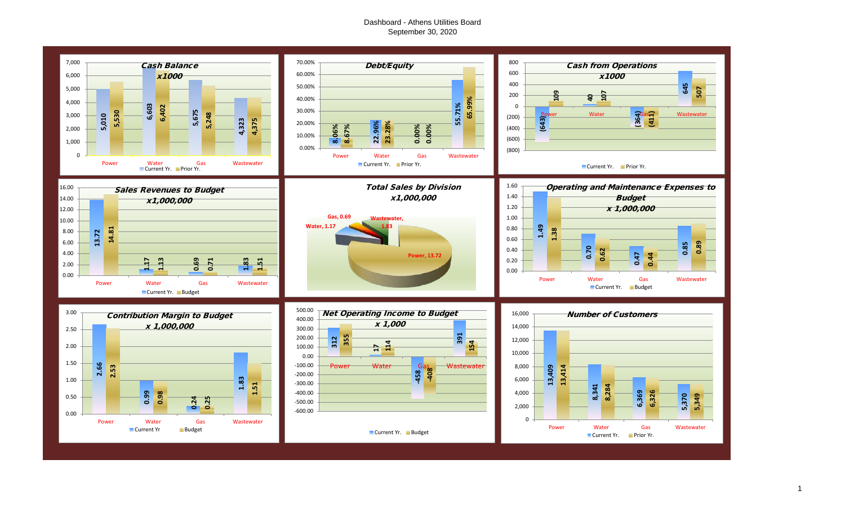## Dashboard - Athens Utilities Board September 30, 2020



1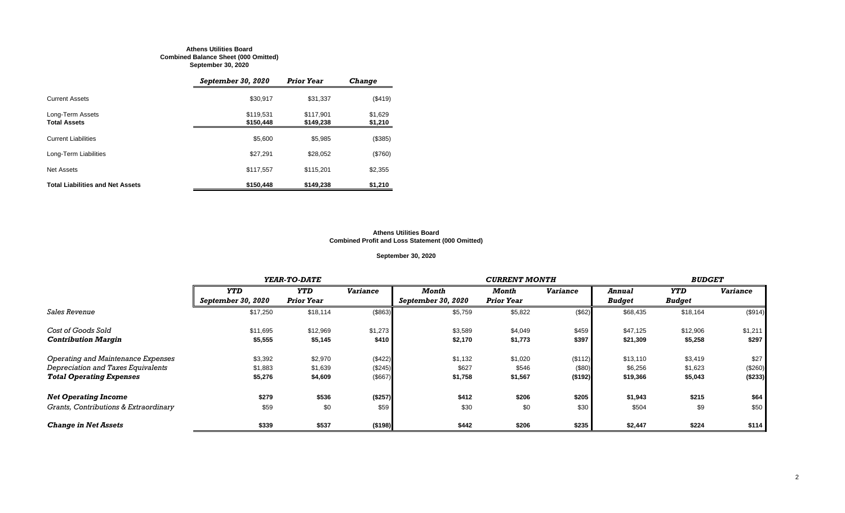#### **Athens Utilities Board Combined Balance Sheet (000 Omitted) September 30, 2020**

|                                         | September 30, 2020     | <b>Prior Year</b>      | <b>Change</b>      |
|-----------------------------------------|------------------------|------------------------|--------------------|
| <b>Current Assets</b>                   | \$30,917               | \$31,337               | (\$419)            |
| Long-Term Assets<br><b>Total Assets</b> | \$119,531<br>\$150,448 | \$117.901<br>\$149,238 | \$1,629<br>\$1,210 |
| <b>Current Liabilities</b>              | \$5.600                | \$5.985                | (\$385)            |
| Long-Term Liabilities                   | \$27,291               | \$28,052               | (\$760)            |
| <b>Net Assets</b>                       | \$117,557              | \$115.201              | \$2,355            |
| <b>Total Liabilities and Net Assets</b> | \$150,448              | \$149,238              | \$1,210            |

#### **Athens Utilities Board Combined Profit and Loss Statement (000 Omitted)**

#### **September 30, 2020**

|                                       |                    | YEAR-TO-DATE      |                 |                    | <b>CURRENT MONTH</b> |                 |               |               |                 |
|---------------------------------------|--------------------|-------------------|-----------------|--------------------|----------------------|-----------------|---------------|---------------|-----------------|
|                                       | <b>YTD</b>         | <b>YTD</b>        | <b>Variance</b> | Month              | Month                | <b>Variance</b> | Annual        | <b>YTD</b>    | <b>Variance</b> |
|                                       | September 30, 2020 | <b>Prior Year</b> |                 | September 30, 2020 | <b>Prior Year</b>    |                 | <b>Budget</b> | <b>Budget</b> |                 |
| <b>Sales Revenue</b>                  | \$17,250           | \$18,114          | (\$863)         | \$5,759            | \$5,822              | (\$62)          | \$68,435      | \$18,164      | (\$914)         |
| Cost of Goods Sold                    | \$11,695           | \$12,969          | \$1,273         | \$3,589            | \$4,049              | \$459           | \$47,125      | \$12,906      | \$1,211         |
| <b>Contribution Margin</b>            | \$5,555            | \$5,145           | \$410           | \$2,170            | \$1,773              | \$397           | \$21,309      | \$5,258       | \$297           |
| Operating and Maintenance Expenses    | \$3,392            | \$2,970           | (\$422)         | \$1,132            | \$1,020              | (\$112)         | \$13,110      | \$3,419       | \$27            |
| Depreciation and Taxes Equivalents    | \$1,883            | \$1,639           | (\$245)         | \$627              | \$546                | (\$80)          | \$6,256       | \$1,623       | (\$260)         |
| <b>Total Operating Expenses</b>       | \$5,276            | \$4,609           | (\$667)         | \$1,758            | \$1,567              | (\$192)         | \$19,366      | \$5,043       | (\$233)         |
| <b>Net Operating Income</b>           | \$279              | \$536             | (\$257)         | \$412              | \$206                | \$205           | \$1,943       | \$215         | \$64            |
| Grants, Contributions & Extraordinary | \$59               | \$0               | \$59            | \$30               | \$0                  | \$30            | \$504         | \$9           | \$50            |
| <b>Change in Net Assets</b>           | \$339              | \$537             | (\$198)         | \$442              | \$206                | \$235           | \$2,447       | \$224         | \$114           |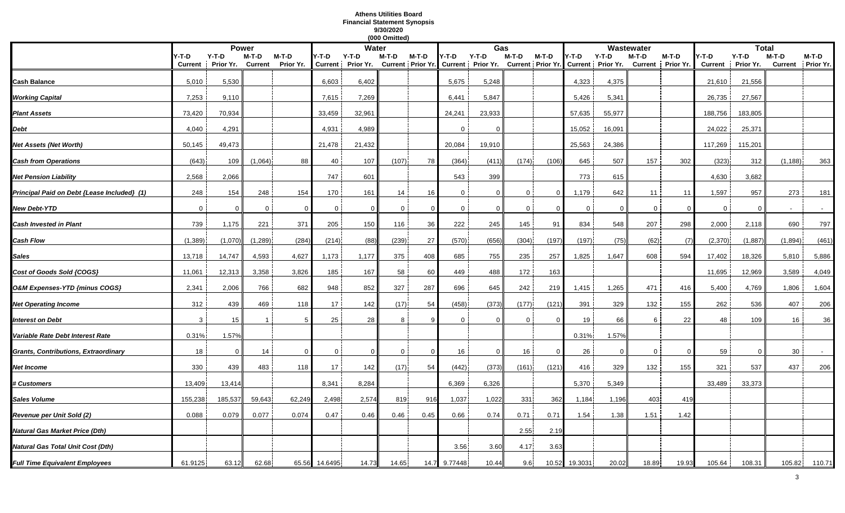#### **Athens Utilities Board Financial Statement Synopsis 9/30/2020 (000 Omitted)**

|                                             |                |           |                |           |              |                              | (000 Omitted)  |                            |                |                              |                |                            |             |                              |              |                   |                |                      |                |                    |
|---------------------------------------------|----------------|-----------|----------------|-----------|--------------|------------------------------|----------------|----------------------------|----------------|------------------------------|----------------|----------------------------|-------------|------------------------------|--------------|-------------------|----------------|----------------------|----------------|--------------------|
|                                             |                |           | <b>Power</b>   |           |              | Water                        |                |                            |                | Gas                          |                |                            |             |                              | Wastewater   |                   |                | <b>Total</b>         |                |                    |
|                                             | Y-T-D          | $Y-T-D$   | M-T-D          | M-T-D     | Y-T-D        | $Y-T-D$<br>Current Prior Yr. | M-T-D          | M-T-D<br>Current Prior Yr. | Y-T-D          | $Y-T-D$<br>Current Prior Yr. | M-T-D          | M-T-D<br>Current Prior Yr. | Y-T-D       | $Y-T-D$<br>Current Prior Yr. | M-T-D        | M-T-D             | /-T-D          | $Y-T-D$<br>Prior Yr. | M-T-D          | M-T-D<br>Prior Yr. |
|                                             | <b>Current</b> | Prior Yr. | <b>Current</b> | Prior Yr. |              |                              |                |                            |                |                              |                |                            |             |                              |              | Current Prior Yr. | <b>Current</b> |                      | <b>Current</b> |                    |
| Cash Balance                                | 5,010          | 5,530     |                |           | 6,603        | 6,402                        |                |                            | 5,675          | 5,248                        |                |                            | 4,323       | 4,375                        |              |                   | 21,610         | 21,556               |                |                    |
| <b>Working Capital</b>                      | 7,253          | 9,110     |                |           | 7.615        | 7,269                        |                |                            | 6,441          | 5,847                        |                |                            | 5,426       | 5,341                        |              |                   | 26,735         | 27,567               |                |                    |
| <b>Plant Assets</b>                         | 73,420         | 70,934    |                |           | 33,459       | 32,961                       |                |                            | 24,241         | 23,933                       |                |                            | 57,635      | 55,977                       |              |                   | 188,756        | 183,805              |                |                    |
| Debt                                        | 4,040          | 4,291     |                |           | 4,931        | 4,989                        |                |                            | $\mathbf 0$    | $\Omega$                     |                |                            | 15,052      | 16,091                       |              |                   | 24,022         | 25,371               |                |                    |
| <b>Vet Assets (Net Worth)</b>               | 50,145         | 49,473    |                |           | 21,478       | 21,432                       |                |                            | 20,084         | 19,910                       |                |                            | 25,563      | 24,386                       |              |                   | 117,269        | 115,201              |                |                    |
| <b>Cash from Operations</b>                 | (643)          | 109       | (1,064)        | 88        | 40           | 107                          | (107)          | 78                         | (364)          | (411)                        | (174)          | (106)                      | 645         | 507                          | 157          | 302               | (323)          | 312                  | (1, 188)       | 363                |
| Net Pension Liability                       | 2,568          | 2,066     |                |           | 747          | 601                          |                |                            | 543            | 399                          |                |                            | 773         | 615                          |              |                   | 4,630          | 3,682                |                |                    |
| Principal Paid on Debt {Lease Included} (1) | 248            | 154       | 248            | 154       | 170          | 161                          | 14             | 16                         | $\mathbf{0}$   | $\Omega$                     | 0              | $\overline{0}$             | 1,179       | 642                          | 11           | 11                | 1,597          | 957                  | 273            | 181                |
| <b>New Debt-YTD</b>                         | $\mathbf 0$    | $\Omega$  | $\overline{0}$ | $\Omega$  | $\mathbf 0$  | $\mathbf 0$                  | $\mathbf 0$    | $\Omega$                   | $\overline{0}$ | $\mathbf 0$                  | $\overline{0}$ |                            | $\mathbf 0$ | $\Omega$                     | $\mathbf{0}$ | $\Omega$          | $\overline{0}$ | $\Omega$             |                | $\sim$             |
| <b>Cash Invested in Plant</b>               | 739            | 1,175     | 221            | 371       | 205          | 150                          | 116            | 36                         | 222            | 245                          | 145            | 91                         | 834         | 548                          | 207          | 298               | 2,000          | 2,118                | 690            | 797                |
| Cash Flow                                   | (1, 389)       | (1,070)   | (1, 289)       | (284)     | (214)        | (88)                         | (239)          | 27                         | (570)          | (656)                        | (304)          | (197)                      | (197)       | (75)                         | (62)         | (7)               | (2, 370)       | (1,887)              | (1,894)        | (461)              |
| Sales                                       | 13,718         | 14,747    | 4,593          | 4,627     | 1,173        | 1,177                        | 375            | 408                        | 685            | 755                          | 235            | 257                        | 1,825       | 1,647                        | 608          | 594               | 17,402         | 18,326               | 5,810          | 5,886              |
| Cost of Goods Sold {COGS}                   | 11,061         | 12,313    | 3,358          | 3,826     | 185          | 167                          | 58             | 60                         | 449            | 488                          | 172            | 163                        |             |                              |              |                   | 11,695         | 12,969               | 3,589          | 4,049              |
| O&M Expenses-YTD {minus COGS}               | 2,341          | 2,006     | 766            | 682       | 948          | 852                          | 327            | 287                        | 696            | 645                          | 242            | 219                        | 1,415       | 1,265                        | 471          | 416               | 5,400          | 4,769                | 1,806          | 1,604              |
| <b>Net Operating Income</b>                 | 312            | 439       | 469            | 118       | 17           | 142                          | (17)           | 54                         | (458)          | (373)                        | (177)          | (121)                      | 391         | 329                          | 132          | 155               | 262            | 536                  | 407            | 206                |
| <b>Interest on Debt</b>                     | 3              | 15        |                |           | 25           | 28                           | 8              |                            | $\mathbf{0}$   | $\Omega$                     | 0              | - 0                        | 19          | 66                           | 6            | 22                | 48             | 109                  | 16             | 36                 |
| Variable Rate Debt Interest Rate            | 0.31%          | 1.57%     |                |           |              |                              |                |                            |                |                              |                |                            | 0.31%       | 1.57%                        |              |                   |                |                      |                |                    |
| Grants, Contributions, Extraordinary        | 18             | 0         | 14             | $\Omega$  | $\mathbf{0}$ | $\mathbf{0}$                 | $\overline{0}$ | $\Omega$                   | 16             | $\overline{0}$               | 16             | $\overline{0}$             | 26          | $\Omega$                     | $\Omega$     | $\Omega$          | 59             | $\Omega$             | 30             |                    |
| Net Income                                  | 330            | 439       | 483            | 118       | 17           | 142                          | (17)           | 54                         | (442)          | (373)                        | (161)          | (121)                      | 416         | 329                          | 132          | 155               | 321            | 537                  | 437            | 206                |
| <b>‡ Customers</b>                          | 13,409         | 13,414    |                |           | 8,341        | 8,284                        |                |                            | 6,369          | 6,326                        |                |                            | 5,370       | 5,349                        |              |                   | 33,489         | 33,373               |                |                    |
| Sales Volume                                | 155,238        | 185,537   | 59,643         | 62,249    | 2,498        | 2,574                        | 819            | 916                        | 1,037          | 1,022                        | 331            | 362                        | 1,184       | 1,196                        | 403          | 419               |                |                      |                |                    |
| Revenue per Unit Sold (2)                   | 0.088          | 0.079     | 0.077          | 0.074     | 0.47         | 0.46                         | 0.46           | 0.45                       | 0.66           | 0.74                         | 0.71           | 0.71                       | 1.54        | 1.38                         | 1.51         | 1.42              |                |                      |                |                    |
| Natural Gas Market Price (Dth)              |                |           |                |           |              |                              |                |                            |                |                              | 2.55           | 2.19                       |             |                              |              |                   |                |                      |                |                    |
| Natural Gas Total Unit Cost (Dth)           |                |           |                |           |              |                              |                |                            | 3.56           | 3.60                         | 4.17           | 3.63                       |             |                              |              |                   |                |                      |                |                    |
| <b>Full Time Equivalent Employees</b>       | 61.9125        | 63.12     | 62.68          | 65.56     | 14.6495      | 14.73                        | 14.65          | 14.7                       | 9.77448        | 10.44                        | 9.6            | 10.52                      | 19.3031     | 20.02                        | 18.89        | 19.93             | 105.64         | 108.31               | 105.82         | 110.71             |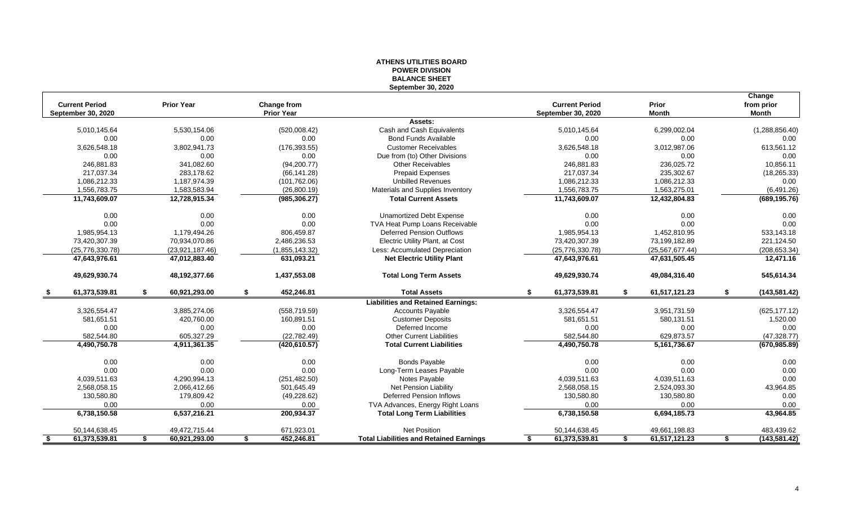|      |                                                    |                     |                                  | ווטוטוועות השיטו<br><b>BALANCE SHEET</b>       |                                             |                       |                                      |
|------|----------------------------------------------------|---------------------|----------------------------------|------------------------------------------------|---------------------------------------------|-----------------------|--------------------------------------|
|      |                                                    |                     |                                  | <b>September 30, 2020</b>                      |                                             |                       |                                      |
|      | <b>Current Period</b><br><b>September 30, 2020</b> | <b>Prior Year</b>   | Change from<br><b>Prior Year</b> |                                                | <b>Current Period</b><br>September 30, 2020 | Prior<br><b>Month</b> | Change<br>from prior<br><b>Month</b> |
|      |                                                    |                     |                                  | Assets:                                        |                                             |                       |                                      |
|      | 5,010,145.64                                       | 5,530,154.06        | (520,008.42)                     | Cash and Cash Equivalents                      | 5,010,145.64                                | 6,299,002.04          | (1,288,856.40)                       |
|      | 0.00                                               | 0.00                | 0.00                             | <b>Bond Funds Available</b>                    | 0.00                                        | 0.00                  | 0.00                                 |
|      | 3,626,548.18                                       | 3.802.941.73        | (176, 393.55)                    | <b>Customer Receivables</b>                    | 3,626,548.18                                | 3,012,987.06          | 613,561.12                           |
|      | 0.00                                               | 0.00                | 0.00                             | Due from (to) Other Divisions                  | 0.00                                        | 0.00                  | 0.00                                 |
|      | 246,881.83                                         | 341,082.60          | (94, 200.77)                     | <b>Other Receivables</b>                       | 246,881.83                                  | 236,025.72            | 10,856.11                            |
|      | 217,037.34                                         | 283,178.62          | (66, 141.28)                     | <b>Prepaid Expenses</b>                        | 217,037.34                                  | 235,302.67            | (18, 265.33)                         |
|      | 1,086,212.33                                       | 1,187,974.39        | (101, 762.06)                    | <b>Unbilled Revenues</b>                       | 1,086,212.33                                | 1,086,212.33          | 0.00                                 |
|      | 1,556,783.75                                       | 1,583,583.94        | (26,800.19)                      | Materials and Supplies Inventory               | 1,556,783.75                                | 1,563,275.01          | (6,491.26)                           |
|      | 11,743,609.07                                      | 12,728,915.34       | (985, 306.27)                    | <b>Total Current Assets</b>                    | 11,743,609.07                               | 12,432,804.83         | (689, 195.76)                        |
|      | 0.00                                               | 0.00                | 0.00                             | <b>Unamortized Debt Expense</b>                | 0.00                                        | 0.00                  | 0.00                                 |
|      | 0.00                                               | 0.00                | 0.00                             | TVA Heat Pump Loans Receivable                 | 0.00                                        | 0.00                  | 0.00                                 |
|      | 1,985,954.13                                       | 1,179,494.26        | 806,459.87                       | Deferred Pension Outflows                      | 1,985,954.13                                | 1,452,810.95          | 533,143.18                           |
|      | 73,420,307.39                                      | 70,934,070.86       | 2,486,236.53                     | Electric Utility Plant, at Cost                | 73,420,307.39                               | 73,199,182.89         | 221,124.50                           |
|      | (25,776,330.78)                                    | (23,921,187.46)     | (1,855,143.32)                   | Less: Accumulated Depreciation                 | (25, 776, 330.78)                           | (25, 567, 677.44)     | (208, 653.34)                        |
|      | 47,643,976.61                                      | 47,012,883.40       | 631,093.21                       | <b>Net Electric Utility Plant</b>              | 47,643,976.61                               | 47,631,505.45         | 12,471.16                            |
|      | 49,629,930.74                                      | 48,192,377.66       | 1,437,553.08                     | <b>Total Long Term Assets</b>                  | 49,629,930.74                               | 49,084,316.40         | 545,614.34                           |
| - 56 | 61,373,539.81                                      | \$<br>60,921,293.00 | \$<br>452,246.81                 | <b>Total Assets</b>                            | \$<br>61,373,539.81                         | \$<br>61,517,121.23   | \$<br>(143, 581.42)                  |
|      |                                                    |                     |                                  | <b>Liabilities and Retained Earnings:</b>      |                                             |                       |                                      |
|      | 3,326,554.47                                       | 3,885,274.06        | (558, 719.59)                    | <b>Accounts Payable</b>                        | 3,326,554.47                                | 3,951,731.59          | (625, 177.12)                        |
|      | 581,651.51                                         | 420,760.00          | 160.891.51                       | <b>Customer Deposits</b>                       | 581,651.51                                  | 580,131.51            | 1,520.00                             |
|      | 0.00                                               | 0.00                | 0.00                             | Deferred Income                                | 0.00                                        | 0.00                  | 0.00                                 |
|      | 582,544.80                                         | 605,327.29          | (22, 782.49)                     | <b>Other Current Liabilities</b>               | 582,544.80                                  | 629,873.57            | (47, 328.77)                         |
|      | 4,490,750.78                                       | 4,911,361.35        | (420, 610.57)                    | <b>Total Current Liabilities</b>               | 4,490,750.78                                | 5, 161, 736. 67       | (670, 985.89)                        |
|      | 0.00                                               | 0.00                | 0.00                             | <b>Bonds Payable</b>                           | 0.00                                        | 0.00                  | 0.00                                 |
|      | 0.00                                               | 0.00                | 0.00                             | Long-Term Leases Payable                       | 0.00                                        | 0.00                  | 0.00                                 |
|      | 4,039,511.63                                       | 4.290.994.13        | (251, 482.50)                    | Notes Payable                                  | 4,039,511.63                                | 4,039,511.63          | 0.00                                 |
|      | 2,568,058.15                                       | 2,066,412.66        | 501,645.49                       | Net Pension Liability                          | 2,568,058.15                                | 2,524,093.30          | 43,964.85                            |
|      | 130,580.80                                         | 179,809.42          | (49, 228.62)                     | <b>Deferred Pension Inflows</b>                | 130,580.80                                  | 130,580.80            | 0.00                                 |
|      | 0.00                                               | 0.00                | 0.00                             | TVA Advances, Energy Right Loans               | 0.00                                        | 0.00                  | $0.00\,$                             |
|      | 6,738,150.58                                       | 6,537,216.21        | 200,934.37                       | <b>Total Long Term Liabilities</b>             | 6,738,150.58                                | 6,694,185.73          | 43,964.85                            |
|      | 50,144,638.45                                      | 49,472,715.44       | 671,923.01                       | <b>Net Position</b>                            | 50,144,638.45                               | 49,661,198.83         | 483,439.62                           |
| - \$ | 61,373,539.81                                      | \$<br>60,921,293.00 | \$<br>452,246.81                 | <b>Total Liabilities and Retained Earnings</b> | 61,373,539.81                               | \$<br>61,517,121.23   | \$<br>(143, 581.42)                  |

# **ATHENS UTILITIES BOARD POWER DIVISION**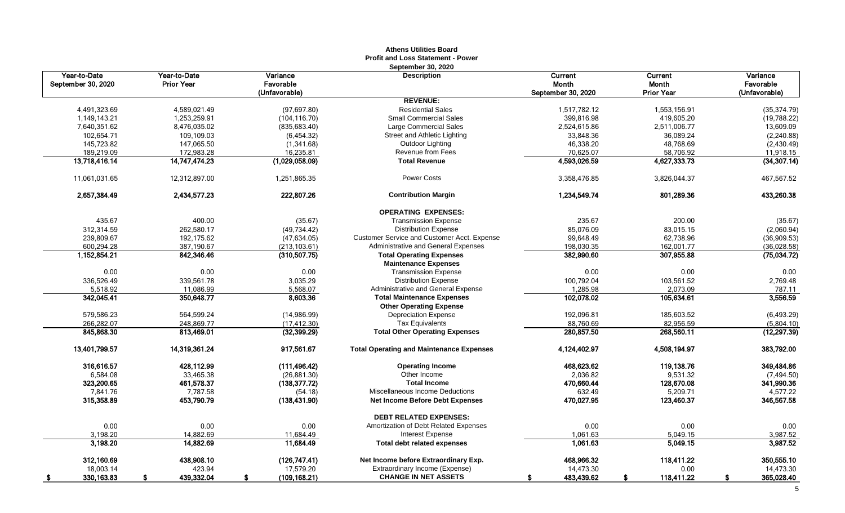|                                    |                                   |                       | Athens Utilities Doard<br><b>Profit and Loss Statement - Power</b> |                    |                   |                       |
|------------------------------------|-----------------------------------|-----------------------|--------------------------------------------------------------------|--------------------|-------------------|-----------------------|
| Year-to-Date<br>September 30, 2020 | Year-to-Date<br><b>Prior Year</b> | Variance<br>Favorable | <b>September 30, 2020</b><br><b>Description</b>                    | Current<br>Month   | Current<br>Month  | Variance<br>Favorable |
|                                    |                                   | (Unfavorable)         |                                                                    | September 30, 2020 | <b>Prior Year</b> | (Unfavorable)         |
|                                    |                                   |                       | <b>REVENUE:</b>                                                    |                    |                   |                       |
| 4,491,323.69                       | 4,589,021.49                      | (97, 697.80)          | <b>Residential Sales</b>                                           | 1,517,782.12       | 1,553,156.91      | (35, 374.79)          |
| 1,149,143.21                       | 1,253,259.91                      | (104, 116.70)         | <b>Small Commercial Sales</b>                                      | 399,816.98         | 419,605.20        | (19,788.22)           |
| 7,640,351.62                       | 8,476,035.02                      | (835, 683.40)         | Large Commercial Sales                                             | 2,524,615.86       | 2,511,006.77      | 13,609.09             |
| 102,654.71                         | 109,109.03                        | (6,454.32)            | Street and Athletic Lighting                                       | 33,848.36          | 36,089.24         | (2, 240.88)           |
| 145,723.82                         | 147,065.50                        | (1,341.68)            | Outdoor Lighting                                                   | 46,338.20          | 48,768.69         | (2,430.49)            |
| 189,219.09                         | 172,983.28                        | 16,235.81             | Revenue from Fees                                                  | 70,625.07          | 58,706.92         | 11,918.15             |
| 13,718,416.14                      | 14,747,474.23                     | (1,029,058.09)        | <b>Total Revenue</b>                                               | 4,593,026.59       | 4,627,333.73      | (34, 307.14)          |
| 11,061,031.65                      | 12,312,897.00                     | 1,251,865.35          | <b>Power Costs</b>                                                 | 3,358,476.85       | 3,826,044.37      | 467,567.52            |
| 2,657,384.49                       | 2,434,577.23                      | 222,807.26            | <b>Contribution Margin</b>                                         | 1,234,549.74       | 801,289.36        | 433,260.38            |
|                                    |                                   |                       | <b>OPERATING EXPENSES:</b>                                         |                    |                   |                       |
| 435.67                             | 400.00                            | (35.67)               | <b>Transmission Expense</b>                                        | 235.67             | 200.00            | (35.67)               |
| 312,314.59                         | 262,580.17                        | (49, 734.42)          | <b>Distribution Expense</b>                                        | 85,076.09          | 83,015.15         | (2,060.94)            |
| 239.809.67                         | 192.175.62                        | (47, 634.05)          | Customer Service and Customer Acct. Expense                        | 99.648.49          | 62,738.96         | (36,909.53)           |
| 600,294.28                         | 387,190.67                        | (213, 103.61)         | Administrative and General Expenses                                | 198,030.35         | 162,001.77        | (36,028.58)           |
| 1,152,854.21                       | 842,346.46                        | (310, 507.75)         | <b>Total Operating Expenses</b>                                    | 382,990.60         | 307,955.88        | (75,034.72)           |
|                                    |                                   |                       | <b>Maintenance Expenses</b>                                        |                    |                   |                       |
| 0.00                               | 0.00                              | 0.00                  | <b>Transmission Expense</b>                                        | 0.00               | 0.00              | 0.00                  |
| 336,526.49                         | 339,561.78                        | 3,035.29              | <b>Distribution Expense</b>                                        | 100,792.04         | 103,561.52        | 2,769.48              |
| 5,518.92                           | 11,086.99                         | 5,568.07              | Administrative and General Expense                                 | 1,285.98           | 2,073.09          | 787.11                |
| 342,045.41                         | 350,648.77                        | 8,603.36              | <b>Total Maintenance Expenses</b>                                  | 102,078.02         | 105,634.61        | 3,556.59              |
|                                    |                                   |                       | <b>Other Operating Expense</b>                                     |                    |                   |                       |
| 579,586.23                         | 564.599.24                        | (14,986.99)           | <b>Depreciation Expense</b>                                        | 192,096.81         | 185.603.52        | (6, 493.29)           |
| 266,282.07                         | 248,869.77                        | (17, 412.30)          | <b>Tax Equivalents</b>                                             | 88,760.69          | 82,956.59         | (5,804.10)            |
| 845,868.30                         | 813,469.01                        | (32, 399.29)          | <b>Total Other Operating Expenses</b>                              | 280,857.50         | 268,560.11        | (12, 297.39)          |
| 13,401,799.57                      | 14,319,361.24                     | 917,561.67            | <b>Total Operating and Maintenance Expenses</b>                    | 4,124,402.97       | 4,508,194.97      | 383,792.00            |
| 316,616.57                         | 428,112.99                        | (111, 496.42)         | <b>Operating Income</b>                                            | 468,623.62         | 119,138.76        | 349,484.86            |
| 6,584.08                           | 33,465.38                         | (26, 881.30)          | Other Income                                                       | 2,036.82           | 9,531.32          | (7, 494.50)           |
| 323,200.65                         | 461,578.37                        | (138, 377.72)         | <b>Total Income</b>                                                | 470,660.44         | 128,670.08        | 341,990.36            |
| 7,841.76                           | 7,787.58                          | (54.18)               | Miscellaneous Income Deductions                                    | 632.49             | 5,209.71          | 4,577.22              |
| 315,358.89                         | 453,790.79                        | (138, 431.90)         | <b>Net Income Before Debt Expenses</b>                             | 470,027.95         | 123,460.37        | 346,567.58            |
|                                    |                                   |                       | <b>DEBT RELATED EXPENSES:</b>                                      |                    |                   |                       |
| 0.00                               | 0.00                              | 0.00                  | Amortization of Debt Related Expenses                              | 0.00               | 0.00              | 0.00                  |
| 3,198.20                           | 14,882.69                         | 11,684.49             | Interest Expense                                                   | 1,061.63           | 5,049.15          | 3,987.52              |
| 3,198.20                           | 14,882.69                         | 11,684.49             | <b>Total debt related expenses</b>                                 | 1,061.63           | 5,049.15          | 3,987.52              |
| 312,160.69                         | 438,908.10                        | (126,747.41)          | Net Income before Extraordinary Exp.                               | 468,966.32         | 118,411.22        | 350,555.10            |
| 18,003.14                          | 423.94                            | 17,579.20             | Extraordinary Income (Expense)                                     | 14,473.30          | 0.00              | 14,473.30             |
| 330, 163.83                        | 439,332.04                        | (109, 168.21)         | <b>CHANGE IN NET ASSETS</b>                                        | 483,439.62         | 118,411.22        | 365,028.40            |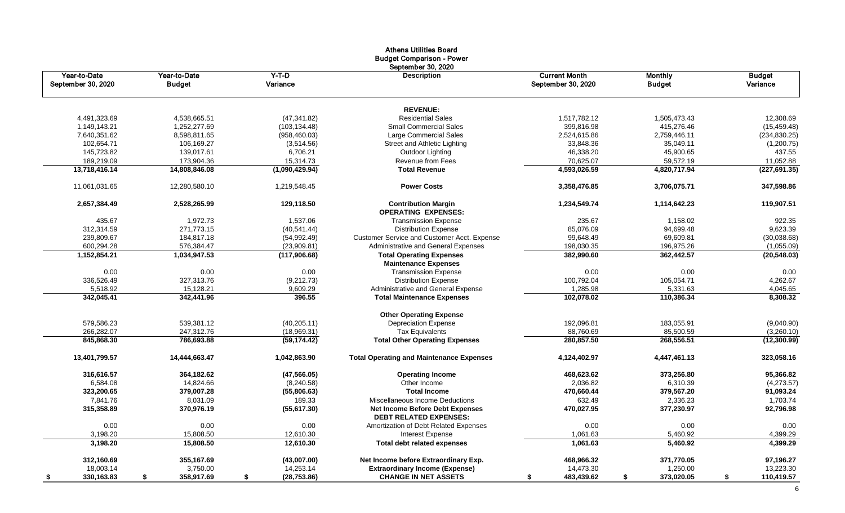|                                    |                               |                     | <b>Athens Utilities Board</b><br><b>Budget Comparison - Power</b><br>September 30, 2020 |                                            |                                 |                           |
|------------------------------------|-------------------------------|---------------------|-----------------------------------------------------------------------------------------|--------------------------------------------|---------------------------------|---------------------------|
| Year-to-Date<br>September 30, 2020 | Year-to-Date<br><b>Budget</b> | $Y-T-D$<br>Variance | <b>Description</b>                                                                      | <b>Current Month</b><br>September 30, 2020 | <b>Monthly</b><br><b>Budget</b> | <b>Budget</b><br>Variance |
|                                    |                               |                     | <b>REVENUE:</b>                                                                         |                                            |                                 |                           |
| 4,491,323.69                       | 4,538,665.51                  | (47, 341.82)        | <b>Residential Sales</b>                                                                | 1,517,782.12                               | 1,505,473.43                    | 12,308.69                 |
| 1,149,143.21                       | 1,252,277.69                  | (103, 134.48)       | <b>Small Commercial Sales</b>                                                           | 399,816.98                                 | 415,276.46                      | (15, 459.48)              |
| 7,640,351.62                       | 8,598,811.65                  | (958, 460.03)       | Large Commercial Sales                                                                  | 2,524,615.86                               | 2,759,446.11                    | (234, 830.25)             |
| 102,654.71                         | 106,169.27                    | (3,514.56)          | Street and Athletic Lighting                                                            | 33,848.36                                  | 35,049.11                       | (1,200.75)                |
| 145,723.82                         | 139,017.61                    | 6,706.21            | Outdoor Lighting                                                                        | 46,338.20                                  | 45,900.65                       | 437.55                    |
| 189,219.09                         | 173,904.36                    | 15,314.73           | Revenue from Fees                                                                       | 70,625.07                                  | 59,572.19                       | 11,052.88                 |
| 13,718,416.14                      | 14,808,846.08                 | (1,090,429.94)      | <b>Total Revenue</b>                                                                    | 4,593,026.59                               | 4,820,717.94                    | (227, 691.35)             |
| 11,061,031.65                      | 12,280,580.10                 | 1,219,548.45        | <b>Power Costs</b>                                                                      | 3,358,476.85                               | 3,706,075.71                    | 347,598.86                |
| 2,657,384.49                       | 2,528,265.99                  | 129,118.50          | <b>Contribution Margin</b><br><b>OPERATING EXPENSES:</b>                                | 1,234,549.74                               | 1,114,642.23                    | 119,907.51                |
| 435.67                             | 1,972.73                      | 1,537.06            | <b>Transmission Expense</b>                                                             | 235.67                                     | 1,158.02                        | 922.35                    |
| 312,314.59                         | 271,773.15                    | (40, 541.44)        | <b>Distribution Expense</b>                                                             | 85,076.09                                  | 94,699.48                       | 9,623.39                  |
| 239,809.67                         | 184,817.18                    | (54, 992.49)        | Customer Service and Customer Acct. Expense                                             | 99,648.49                                  | 69,609.81                       | (30,038.68)               |
| 600,294.28                         | 576.384.47                    | (23,909.81)         | Administrative and General Expenses                                                     | 198,030.35                                 | 196,975.26                      | (1,055.09)                |
| 1,152,854.21                       | 1,034,947.53                  | (117,906.68)        | <b>Total Operating Expenses</b>                                                         | 382,990.60                                 | 362,442.57                      | (20, 548.03)              |
|                                    |                               |                     | <b>Maintenance Expenses</b>                                                             |                                            |                                 |                           |
| 0.00                               | 0.00                          | 0.00                | <b>Transmission Expense</b>                                                             | 0.00                                       | 0.00                            | 0.00                      |
| 336,526.49                         | 327,313.76                    | (9,212.73)          | <b>Distribution Expense</b>                                                             | 100,792.04                                 | 105,054.71                      | 4,262.67                  |
| 5,518.92                           | 15,128.21                     | 9,609.29            | Administrative and General Expense                                                      | 1,285.98                                   | 5,331.63                        | 4,045.65                  |
| 342,045.41                         | 342,441.96                    | 396.55              | <b>Total Maintenance Expenses</b>                                                       | 102,078.02                                 | 110,386.34                      | 8,308.32                  |
|                                    |                               |                     |                                                                                         |                                            |                                 |                           |
|                                    |                               |                     | <b>Other Operating Expense</b>                                                          |                                            |                                 |                           |
| 579,586.23                         | 539,381.12                    | (40, 205.11)        | <b>Depreciation Expense</b>                                                             | 192,096.81                                 | 183,055.91                      | (9,040.90)                |
| 266,282.07                         | 247,312.76                    | (18,969.31)         | <b>Tax Equivalents</b>                                                                  | 88,760.69                                  | 85,500.59                       | (3,260.10)                |
| 845,868.30                         | 786,693.88                    | (59, 174.42)        | <b>Total Other Operating Expenses</b>                                                   | 280,857.50                                 | 268,556.51                      | (12,300.99)               |
| 13,401,799.57                      | 14,444,663.47                 | 1,042,863.90        | <b>Total Operating and Maintenance Expenses</b>                                         | 4,124,402.97                               | 4,447,461.13                    | 323,058.16                |
| 316,616.57                         | 364,182.62                    | (47, 566.05)        | <b>Operating Income</b>                                                                 | 468,623.62                                 | 373,256.80                      | 95,366.82                 |
| 6,584.08                           | 14,824.66                     | (8, 240.58)         | Other Income                                                                            | 2,036.82                                   | 6,310.39                        | (4,273.57)                |
| 323,200.65                         | 379,007.28                    | (55,806.63)         | <b>Total Income</b>                                                                     | 470,660.44                                 | 379,567.20                      | 91,093.24                 |
| 7,841.76                           | 8.031.09                      | 189.33              | Miscellaneous Income Deductions                                                         | 632.49                                     | 2,336.23                        | 1,703.74                  |
| 315,358.89                         | 370,976.19                    | (55,617.30)         | <b>Net Income Before Debt Expenses</b><br><b>DEBT RELATED EXPENSES:</b>                 | 470,027.95                                 | 377,230.97                      | 92,796.98                 |
| 0.00                               | 0.00                          | 0.00                | Amortization of Debt Related Expenses                                                   | 0.00                                       | 0.00                            | 0.00                      |
| 3,198.20                           | 15,808.50                     | 12,610.30           | <b>Interest Expense</b>                                                                 | 1,061.63                                   | 5,460.92                        | 4,399.29                  |
| 3,198.20                           | 15,808.50                     | 12,610.30           | <b>Total debt related expenses</b>                                                      | 1,061.63                                   | 5,460.92                        | 4,399.29                  |
| 312,160.69                         | 355,167.69                    | (43,007.00)         | Net Income before Extraordinary Exp.                                                    | 468,966.32                                 | 371,770.05                      | 97,196.27                 |
| 18,003.14                          | 3,750.00                      | 14,253.14           | <b>Extraordinary Income (Expense)</b>                                                   | 14,473.30                                  | 1,250.00                        | 13,223.30                 |
| 330,163.83                         | 358,917.69<br>S.              | (28, 753.86)<br>S.  | <b>CHANGE IN NET ASSETS</b>                                                             | 483,439.62                                 | 373,020.05<br>\$                | 110,419.57<br>\$          |

6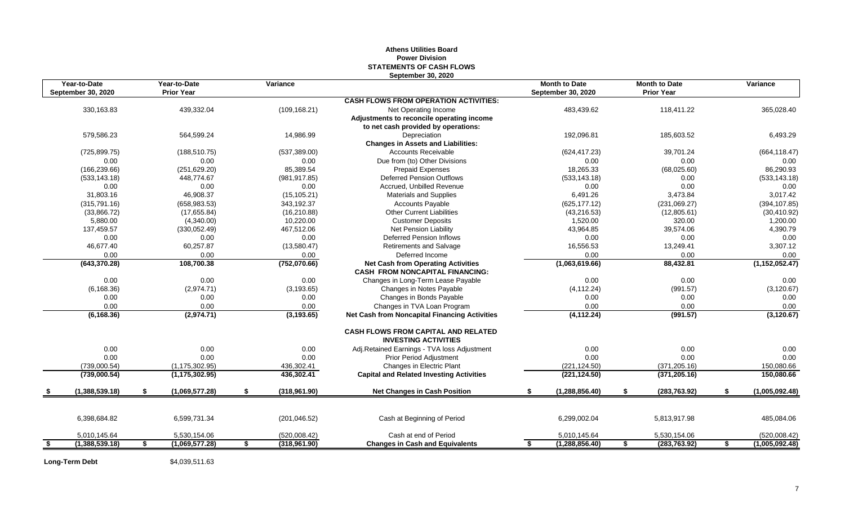## **Athens Utilities Board Power Division STATEMENTS OF CASH FLOWS September 30, 2020**

| <b>September 30, 2020</b><br><b>September 30, 2020</b><br><b>CASH FLOWS FROM OPERATION ACTIVITIES:</b><br>439,332.04<br>118,411.22<br>365,028.40<br>330,163.83<br>(109, 168.21)<br>483,439.62<br>Net Operating Income<br>Adjustments to reconcile operating income<br>to net cash provided by operations:<br>192,096.81<br>579.586.23<br>564,599.24<br>14,986.99<br>Depreciation<br>185,603.52<br>6,493.29<br><b>Changes in Assets and Liabilities:</b><br><b>Accounts Receivable</b><br>39,701.24<br>(664, 118.47)<br>(725, 899.75)<br>(188, 510.75)<br>(537, 389.00)<br>(624, 417.23)<br>0.00<br>0.00<br>Due from (to) Other Divisions<br>0.00<br>0.00<br>0.00<br>0.00<br>(68,025.60)<br>86,290.93<br>(166, 239.66)<br>(251, 629.20)<br>85,389.54<br><b>Prepaid Expenses</b><br>18,265.33<br>(533, 143.18)<br>(981, 917.85)<br><b>Deferred Pension Outflows</b><br>(533, 143.18)<br>0.00<br>(533, 143.18)<br>448,774.67<br>0.00<br>0.00<br>0.00<br>0.00<br>Accrued. Unbilled Revenue<br>0.00<br>0.00<br>31,803.16<br>46,908.37<br>(15, 105.21)<br>3,473.84<br>3,017.42<br><b>Materials and Supplies</b><br>6,491.26<br>343,192.37<br>(625, 177.12)<br>(231,069.27)<br>(394, 107.85)<br>(315, 791.16)<br>(658, 983.53)<br><b>Accounts Payable</b><br>(33,866.72)<br>(17,655.84)<br><b>Other Current Liabilities</b><br>(12,805.61)<br>(16, 210.88)<br>(43, 216.53)<br>(30, 410.92)<br>5,880.00<br>10,220.00<br>1,520.00<br>320.00<br>(4,340.00)<br><b>Customer Deposits</b><br>1,200.00<br>43,964.85<br>39,574.06<br>4,390.79<br>137,459.57<br>(330,052.49)<br>467,512.06<br>Net Pension Liability<br>0.00<br>0.00<br>0.00<br><b>Deferred Pension Inflows</b><br>0.00<br>0.00<br>0.00<br>3,307.12<br>46.677.40<br>60,257.87<br>(13,580.47)<br><b>Retirements and Salvage</b><br>16,556.53<br>13,249.41<br>0.00<br>0.00<br>0.00<br>0.00<br>0.00<br>Deferred Income<br>0.00<br>(643, 370.28)<br>108,700.38<br>(752,070.66)<br><b>Net Cash from Operating Activities</b><br>(1,063,619.66)<br>88,432.81<br>(1, 152, 052.47)<br><b>CASH FROM NONCAPITAL FINANCING:</b><br>0.00<br>0.00<br>0.00<br>0.00<br>0.00<br>Changes in Long-Term Lease Payable<br>0.00<br>(6, 168.36)<br>(2,974.71)<br>(3, 193.65)<br>Changes in Notes Payable<br>(4, 112.24)<br>(991.57)<br>Changes in Bonds Payable<br>0.00<br>0.00<br>0.00<br>0.00<br>0.00<br>0.00<br>0.00<br>0.00<br>0.00<br>Changes in TVA Loan Program<br>0.00<br>0.00<br>0.00<br>(3, 120.67)<br>(991.57)<br>(6, 168.36)<br>(2,974.71)<br>(3, 193.65)<br><b>Net Cash from Noncapital Financing Activities</b><br>(4, 112.24)<br><b>CASH FLOWS FROM CAPITAL AND RELATED</b><br><b>INVESTING ACTIVITIES</b><br>0.00<br>0.00<br>0.00<br>0.00<br>Adj.Retained Earnings - TVA loss Adjustment<br>0.00<br>0.00<br>0.00<br>0.00<br>0.00<br>0.00<br>0.00<br>Prior Period Adjustment<br>0.00<br>Changes in Electric Plant<br>(371, 205.16)<br>150,080.66<br>(739,000.54)<br>(1, 175, 302.95)<br>436,302.41<br>(221, 124.50)<br>436,302.41<br><b>Capital and Related Investing Activities</b><br>(221, 124.50)<br>150,080.66<br>(739,000.54)<br>(1, 175, 302.95)<br>(371, 205.16)<br>(1,388,539.18)<br>S.<br>(1,069,577.28)<br>S.<br>(318, 961.90)<br><b>Net Changes in Cash Position</b><br>(1, 288, 856.40)<br>\$<br>(283, 763.92)<br>S.<br>\$<br>- \$<br>6,398,684.82<br>6,599,731.34<br>6,299,002.04<br>5,813,917.98<br>485,084.06<br>(201, 046.52)<br>Cash at Beginning of Period<br>Cash at end of Period<br>5,010,145.64<br>5,530,154.06<br>(520,008.42)<br>5,010,145.64<br>5,530,154.06<br>(318,961.90)<br>(1, 288, 856.40)<br>(283, 763.92)<br>\$<br>(1,388,539.18)<br>(1,069,577.28)<br>\$<br><b>Changes in Cash and Equivalents</b><br>\$<br>\$<br>\$<br>\$ | Year-to-Date | Year-to-Date      | Variance | <b>Month to Date</b> | <b>Month to Date</b> | Variance       |
|-------------------------------------------------------------------------------------------------------------------------------------------------------------------------------------------------------------------------------------------------------------------------------------------------------------------------------------------------------------------------------------------------------------------------------------------------------------------------------------------------------------------------------------------------------------------------------------------------------------------------------------------------------------------------------------------------------------------------------------------------------------------------------------------------------------------------------------------------------------------------------------------------------------------------------------------------------------------------------------------------------------------------------------------------------------------------------------------------------------------------------------------------------------------------------------------------------------------------------------------------------------------------------------------------------------------------------------------------------------------------------------------------------------------------------------------------------------------------------------------------------------------------------------------------------------------------------------------------------------------------------------------------------------------------------------------------------------------------------------------------------------------------------------------------------------------------------------------------------------------------------------------------------------------------------------------------------------------------------------------------------------------------------------------------------------------------------------------------------------------------------------------------------------------------------------------------------------------------------------------------------------------------------------------------------------------------------------------------------------------------------------------------------------------------------------------------------------------------------------------------------------------------------------------------------------------------------------------------------------------------------------------------------------------------------------------------------------------------------------------------------------------------------------------------------------------------------------------------------------------------------------------------------------------------------------------------------------------------------------------------------------------------------------------------------------------------------------------------------------------------------------------------------------------------------------------------------------------------------------------------------------------------------------------------------------------------------------------------------------------------------------------------------------------------------------------------------------------------------------------------------------------------------------------------------------------------------------------------------------------------------------------------------------------------------------------------------|--------------|-------------------|----------|----------------------|----------------------|----------------|
|                                                                                                                                                                                                                                                                                                                                                                                                                                                                                                                                                                                                                                                                                                                                                                                                                                                                                                                                                                                                                                                                                                                                                                                                                                                                                                                                                                                                                                                                                                                                                                                                                                                                                                                                                                                                                                                                                                                                                                                                                                                                                                                                                                                                                                                                                                                                                                                                                                                                                                                                                                                                                                                                                                                                                                                                                                                                                                                                                                                                                                                                                                                                                                                                                                                                                                                                                                                                                                                                                                                                                                                                                                                                                                       |              | <b>Prior Year</b> |          |                      | <b>Prior Year</b>    |                |
|                                                                                                                                                                                                                                                                                                                                                                                                                                                                                                                                                                                                                                                                                                                                                                                                                                                                                                                                                                                                                                                                                                                                                                                                                                                                                                                                                                                                                                                                                                                                                                                                                                                                                                                                                                                                                                                                                                                                                                                                                                                                                                                                                                                                                                                                                                                                                                                                                                                                                                                                                                                                                                                                                                                                                                                                                                                                                                                                                                                                                                                                                                                                                                                                                                                                                                                                                                                                                                                                                                                                                                                                                                                                                                       |              |                   |          |                      |                      |                |
|                                                                                                                                                                                                                                                                                                                                                                                                                                                                                                                                                                                                                                                                                                                                                                                                                                                                                                                                                                                                                                                                                                                                                                                                                                                                                                                                                                                                                                                                                                                                                                                                                                                                                                                                                                                                                                                                                                                                                                                                                                                                                                                                                                                                                                                                                                                                                                                                                                                                                                                                                                                                                                                                                                                                                                                                                                                                                                                                                                                                                                                                                                                                                                                                                                                                                                                                                                                                                                                                                                                                                                                                                                                                                                       |              |                   |          |                      |                      |                |
|                                                                                                                                                                                                                                                                                                                                                                                                                                                                                                                                                                                                                                                                                                                                                                                                                                                                                                                                                                                                                                                                                                                                                                                                                                                                                                                                                                                                                                                                                                                                                                                                                                                                                                                                                                                                                                                                                                                                                                                                                                                                                                                                                                                                                                                                                                                                                                                                                                                                                                                                                                                                                                                                                                                                                                                                                                                                                                                                                                                                                                                                                                                                                                                                                                                                                                                                                                                                                                                                                                                                                                                                                                                                                                       |              |                   |          |                      |                      |                |
|                                                                                                                                                                                                                                                                                                                                                                                                                                                                                                                                                                                                                                                                                                                                                                                                                                                                                                                                                                                                                                                                                                                                                                                                                                                                                                                                                                                                                                                                                                                                                                                                                                                                                                                                                                                                                                                                                                                                                                                                                                                                                                                                                                                                                                                                                                                                                                                                                                                                                                                                                                                                                                                                                                                                                                                                                                                                                                                                                                                                                                                                                                                                                                                                                                                                                                                                                                                                                                                                                                                                                                                                                                                                                                       |              |                   |          |                      |                      |                |
|                                                                                                                                                                                                                                                                                                                                                                                                                                                                                                                                                                                                                                                                                                                                                                                                                                                                                                                                                                                                                                                                                                                                                                                                                                                                                                                                                                                                                                                                                                                                                                                                                                                                                                                                                                                                                                                                                                                                                                                                                                                                                                                                                                                                                                                                                                                                                                                                                                                                                                                                                                                                                                                                                                                                                                                                                                                                                                                                                                                                                                                                                                                                                                                                                                                                                                                                                                                                                                                                                                                                                                                                                                                                                                       |              |                   |          |                      |                      |                |
|                                                                                                                                                                                                                                                                                                                                                                                                                                                                                                                                                                                                                                                                                                                                                                                                                                                                                                                                                                                                                                                                                                                                                                                                                                                                                                                                                                                                                                                                                                                                                                                                                                                                                                                                                                                                                                                                                                                                                                                                                                                                                                                                                                                                                                                                                                                                                                                                                                                                                                                                                                                                                                                                                                                                                                                                                                                                                                                                                                                                                                                                                                                                                                                                                                                                                                                                                                                                                                                                                                                                                                                                                                                                                                       |              |                   |          |                      |                      |                |
|                                                                                                                                                                                                                                                                                                                                                                                                                                                                                                                                                                                                                                                                                                                                                                                                                                                                                                                                                                                                                                                                                                                                                                                                                                                                                                                                                                                                                                                                                                                                                                                                                                                                                                                                                                                                                                                                                                                                                                                                                                                                                                                                                                                                                                                                                                                                                                                                                                                                                                                                                                                                                                                                                                                                                                                                                                                                                                                                                                                                                                                                                                                                                                                                                                                                                                                                                                                                                                                                                                                                                                                                                                                                                                       |              |                   |          |                      |                      |                |
|                                                                                                                                                                                                                                                                                                                                                                                                                                                                                                                                                                                                                                                                                                                                                                                                                                                                                                                                                                                                                                                                                                                                                                                                                                                                                                                                                                                                                                                                                                                                                                                                                                                                                                                                                                                                                                                                                                                                                                                                                                                                                                                                                                                                                                                                                                                                                                                                                                                                                                                                                                                                                                                                                                                                                                                                                                                                                                                                                                                                                                                                                                                                                                                                                                                                                                                                                                                                                                                                                                                                                                                                                                                                                                       |              |                   |          |                      |                      |                |
|                                                                                                                                                                                                                                                                                                                                                                                                                                                                                                                                                                                                                                                                                                                                                                                                                                                                                                                                                                                                                                                                                                                                                                                                                                                                                                                                                                                                                                                                                                                                                                                                                                                                                                                                                                                                                                                                                                                                                                                                                                                                                                                                                                                                                                                                                                                                                                                                                                                                                                                                                                                                                                                                                                                                                                                                                                                                                                                                                                                                                                                                                                                                                                                                                                                                                                                                                                                                                                                                                                                                                                                                                                                                                                       |              |                   |          |                      |                      |                |
|                                                                                                                                                                                                                                                                                                                                                                                                                                                                                                                                                                                                                                                                                                                                                                                                                                                                                                                                                                                                                                                                                                                                                                                                                                                                                                                                                                                                                                                                                                                                                                                                                                                                                                                                                                                                                                                                                                                                                                                                                                                                                                                                                                                                                                                                                                                                                                                                                                                                                                                                                                                                                                                                                                                                                                                                                                                                                                                                                                                                                                                                                                                                                                                                                                                                                                                                                                                                                                                                                                                                                                                                                                                                                                       |              |                   |          |                      |                      |                |
|                                                                                                                                                                                                                                                                                                                                                                                                                                                                                                                                                                                                                                                                                                                                                                                                                                                                                                                                                                                                                                                                                                                                                                                                                                                                                                                                                                                                                                                                                                                                                                                                                                                                                                                                                                                                                                                                                                                                                                                                                                                                                                                                                                                                                                                                                                                                                                                                                                                                                                                                                                                                                                                                                                                                                                                                                                                                                                                                                                                                                                                                                                                                                                                                                                                                                                                                                                                                                                                                                                                                                                                                                                                                                                       |              |                   |          |                      |                      |                |
|                                                                                                                                                                                                                                                                                                                                                                                                                                                                                                                                                                                                                                                                                                                                                                                                                                                                                                                                                                                                                                                                                                                                                                                                                                                                                                                                                                                                                                                                                                                                                                                                                                                                                                                                                                                                                                                                                                                                                                                                                                                                                                                                                                                                                                                                                                                                                                                                                                                                                                                                                                                                                                                                                                                                                                                                                                                                                                                                                                                                                                                                                                                                                                                                                                                                                                                                                                                                                                                                                                                                                                                                                                                                                                       |              |                   |          |                      |                      |                |
|                                                                                                                                                                                                                                                                                                                                                                                                                                                                                                                                                                                                                                                                                                                                                                                                                                                                                                                                                                                                                                                                                                                                                                                                                                                                                                                                                                                                                                                                                                                                                                                                                                                                                                                                                                                                                                                                                                                                                                                                                                                                                                                                                                                                                                                                                                                                                                                                                                                                                                                                                                                                                                                                                                                                                                                                                                                                                                                                                                                                                                                                                                                                                                                                                                                                                                                                                                                                                                                                                                                                                                                                                                                                                                       |              |                   |          |                      |                      |                |
|                                                                                                                                                                                                                                                                                                                                                                                                                                                                                                                                                                                                                                                                                                                                                                                                                                                                                                                                                                                                                                                                                                                                                                                                                                                                                                                                                                                                                                                                                                                                                                                                                                                                                                                                                                                                                                                                                                                                                                                                                                                                                                                                                                                                                                                                                                                                                                                                                                                                                                                                                                                                                                                                                                                                                                                                                                                                                                                                                                                                                                                                                                                                                                                                                                                                                                                                                                                                                                                                                                                                                                                                                                                                                                       |              |                   |          |                      |                      |                |
|                                                                                                                                                                                                                                                                                                                                                                                                                                                                                                                                                                                                                                                                                                                                                                                                                                                                                                                                                                                                                                                                                                                                                                                                                                                                                                                                                                                                                                                                                                                                                                                                                                                                                                                                                                                                                                                                                                                                                                                                                                                                                                                                                                                                                                                                                                                                                                                                                                                                                                                                                                                                                                                                                                                                                                                                                                                                                                                                                                                                                                                                                                                                                                                                                                                                                                                                                                                                                                                                                                                                                                                                                                                                                                       |              |                   |          |                      |                      |                |
|                                                                                                                                                                                                                                                                                                                                                                                                                                                                                                                                                                                                                                                                                                                                                                                                                                                                                                                                                                                                                                                                                                                                                                                                                                                                                                                                                                                                                                                                                                                                                                                                                                                                                                                                                                                                                                                                                                                                                                                                                                                                                                                                                                                                                                                                                                                                                                                                                                                                                                                                                                                                                                                                                                                                                                                                                                                                                                                                                                                                                                                                                                                                                                                                                                                                                                                                                                                                                                                                                                                                                                                                                                                                                                       |              |                   |          |                      |                      |                |
|                                                                                                                                                                                                                                                                                                                                                                                                                                                                                                                                                                                                                                                                                                                                                                                                                                                                                                                                                                                                                                                                                                                                                                                                                                                                                                                                                                                                                                                                                                                                                                                                                                                                                                                                                                                                                                                                                                                                                                                                                                                                                                                                                                                                                                                                                                                                                                                                                                                                                                                                                                                                                                                                                                                                                                                                                                                                                                                                                                                                                                                                                                                                                                                                                                                                                                                                                                                                                                                                                                                                                                                                                                                                                                       |              |                   |          |                      |                      |                |
|                                                                                                                                                                                                                                                                                                                                                                                                                                                                                                                                                                                                                                                                                                                                                                                                                                                                                                                                                                                                                                                                                                                                                                                                                                                                                                                                                                                                                                                                                                                                                                                                                                                                                                                                                                                                                                                                                                                                                                                                                                                                                                                                                                                                                                                                                                                                                                                                                                                                                                                                                                                                                                                                                                                                                                                                                                                                                                                                                                                                                                                                                                                                                                                                                                                                                                                                                                                                                                                                                                                                                                                                                                                                                                       |              |                   |          |                      |                      |                |
|                                                                                                                                                                                                                                                                                                                                                                                                                                                                                                                                                                                                                                                                                                                                                                                                                                                                                                                                                                                                                                                                                                                                                                                                                                                                                                                                                                                                                                                                                                                                                                                                                                                                                                                                                                                                                                                                                                                                                                                                                                                                                                                                                                                                                                                                                                                                                                                                                                                                                                                                                                                                                                                                                                                                                                                                                                                                                                                                                                                                                                                                                                                                                                                                                                                                                                                                                                                                                                                                                                                                                                                                                                                                                                       |              |                   |          |                      |                      |                |
|                                                                                                                                                                                                                                                                                                                                                                                                                                                                                                                                                                                                                                                                                                                                                                                                                                                                                                                                                                                                                                                                                                                                                                                                                                                                                                                                                                                                                                                                                                                                                                                                                                                                                                                                                                                                                                                                                                                                                                                                                                                                                                                                                                                                                                                                                                                                                                                                                                                                                                                                                                                                                                                                                                                                                                                                                                                                                                                                                                                                                                                                                                                                                                                                                                                                                                                                                                                                                                                                                                                                                                                                                                                                                                       |              |                   |          |                      |                      |                |
|                                                                                                                                                                                                                                                                                                                                                                                                                                                                                                                                                                                                                                                                                                                                                                                                                                                                                                                                                                                                                                                                                                                                                                                                                                                                                                                                                                                                                                                                                                                                                                                                                                                                                                                                                                                                                                                                                                                                                                                                                                                                                                                                                                                                                                                                                                                                                                                                                                                                                                                                                                                                                                                                                                                                                                                                                                                                                                                                                                                                                                                                                                                                                                                                                                                                                                                                                                                                                                                                                                                                                                                                                                                                                                       |              |                   |          |                      |                      |                |
|                                                                                                                                                                                                                                                                                                                                                                                                                                                                                                                                                                                                                                                                                                                                                                                                                                                                                                                                                                                                                                                                                                                                                                                                                                                                                                                                                                                                                                                                                                                                                                                                                                                                                                                                                                                                                                                                                                                                                                                                                                                                                                                                                                                                                                                                                                                                                                                                                                                                                                                                                                                                                                                                                                                                                                                                                                                                                                                                                                                                                                                                                                                                                                                                                                                                                                                                                                                                                                                                                                                                                                                                                                                                                                       |              |                   |          |                      |                      | (3, 120.67)    |
|                                                                                                                                                                                                                                                                                                                                                                                                                                                                                                                                                                                                                                                                                                                                                                                                                                                                                                                                                                                                                                                                                                                                                                                                                                                                                                                                                                                                                                                                                                                                                                                                                                                                                                                                                                                                                                                                                                                                                                                                                                                                                                                                                                                                                                                                                                                                                                                                                                                                                                                                                                                                                                                                                                                                                                                                                                                                                                                                                                                                                                                                                                                                                                                                                                                                                                                                                                                                                                                                                                                                                                                                                                                                                                       |              |                   |          |                      |                      |                |
|                                                                                                                                                                                                                                                                                                                                                                                                                                                                                                                                                                                                                                                                                                                                                                                                                                                                                                                                                                                                                                                                                                                                                                                                                                                                                                                                                                                                                                                                                                                                                                                                                                                                                                                                                                                                                                                                                                                                                                                                                                                                                                                                                                                                                                                                                                                                                                                                                                                                                                                                                                                                                                                                                                                                                                                                                                                                                                                                                                                                                                                                                                                                                                                                                                                                                                                                                                                                                                                                                                                                                                                                                                                                                                       |              |                   |          |                      |                      |                |
|                                                                                                                                                                                                                                                                                                                                                                                                                                                                                                                                                                                                                                                                                                                                                                                                                                                                                                                                                                                                                                                                                                                                                                                                                                                                                                                                                                                                                                                                                                                                                                                                                                                                                                                                                                                                                                                                                                                                                                                                                                                                                                                                                                                                                                                                                                                                                                                                                                                                                                                                                                                                                                                                                                                                                                                                                                                                                                                                                                                                                                                                                                                                                                                                                                                                                                                                                                                                                                                                                                                                                                                                                                                                                                       |              |                   |          |                      |                      |                |
|                                                                                                                                                                                                                                                                                                                                                                                                                                                                                                                                                                                                                                                                                                                                                                                                                                                                                                                                                                                                                                                                                                                                                                                                                                                                                                                                                                                                                                                                                                                                                                                                                                                                                                                                                                                                                                                                                                                                                                                                                                                                                                                                                                                                                                                                                                                                                                                                                                                                                                                                                                                                                                                                                                                                                                                                                                                                                                                                                                                                                                                                                                                                                                                                                                                                                                                                                                                                                                                                                                                                                                                                                                                                                                       |              |                   |          |                      |                      |                |
|                                                                                                                                                                                                                                                                                                                                                                                                                                                                                                                                                                                                                                                                                                                                                                                                                                                                                                                                                                                                                                                                                                                                                                                                                                                                                                                                                                                                                                                                                                                                                                                                                                                                                                                                                                                                                                                                                                                                                                                                                                                                                                                                                                                                                                                                                                                                                                                                                                                                                                                                                                                                                                                                                                                                                                                                                                                                                                                                                                                                                                                                                                                                                                                                                                                                                                                                                                                                                                                                                                                                                                                                                                                                                                       |              |                   |          |                      |                      |                |
|                                                                                                                                                                                                                                                                                                                                                                                                                                                                                                                                                                                                                                                                                                                                                                                                                                                                                                                                                                                                                                                                                                                                                                                                                                                                                                                                                                                                                                                                                                                                                                                                                                                                                                                                                                                                                                                                                                                                                                                                                                                                                                                                                                                                                                                                                                                                                                                                                                                                                                                                                                                                                                                                                                                                                                                                                                                                                                                                                                                                                                                                                                                                                                                                                                                                                                                                                                                                                                                                                                                                                                                                                                                                                                       |              |                   |          |                      |                      |                |
|                                                                                                                                                                                                                                                                                                                                                                                                                                                                                                                                                                                                                                                                                                                                                                                                                                                                                                                                                                                                                                                                                                                                                                                                                                                                                                                                                                                                                                                                                                                                                                                                                                                                                                                                                                                                                                                                                                                                                                                                                                                                                                                                                                                                                                                                                                                                                                                                                                                                                                                                                                                                                                                                                                                                                                                                                                                                                                                                                                                                                                                                                                                                                                                                                                                                                                                                                                                                                                                                                                                                                                                                                                                                                                       |              |                   |          |                      |                      |                |
|                                                                                                                                                                                                                                                                                                                                                                                                                                                                                                                                                                                                                                                                                                                                                                                                                                                                                                                                                                                                                                                                                                                                                                                                                                                                                                                                                                                                                                                                                                                                                                                                                                                                                                                                                                                                                                                                                                                                                                                                                                                                                                                                                                                                                                                                                                                                                                                                                                                                                                                                                                                                                                                                                                                                                                                                                                                                                                                                                                                                                                                                                                                                                                                                                                                                                                                                                                                                                                                                                                                                                                                                                                                                                                       |              |                   |          |                      |                      |                |
|                                                                                                                                                                                                                                                                                                                                                                                                                                                                                                                                                                                                                                                                                                                                                                                                                                                                                                                                                                                                                                                                                                                                                                                                                                                                                                                                                                                                                                                                                                                                                                                                                                                                                                                                                                                                                                                                                                                                                                                                                                                                                                                                                                                                                                                                                                                                                                                                                                                                                                                                                                                                                                                                                                                                                                                                                                                                                                                                                                                                                                                                                                                                                                                                                                                                                                                                                                                                                                                                                                                                                                                                                                                                                                       |              |                   |          |                      |                      | (1,005,092.48) |
|                                                                                                                                                                                                                                                                                                                                                                                                                                                                                                                                                                                                                                                                                                                                                                                                                                                                                                                                                                                                                                                                                                                                                                                                                                                                                                                                                                                                                                                                                                                                                                                                                                                                                                                                                                                                                                                                                                                                                                                                                                                                                                                                                                                                                                                                                                                                                                                                                                                                                                                                                                                                                                                                                                                                                                                                                                                                                                                                                                                                                                                                                                                                                                                                                                                                                                                                                                                                                                                                                                                                                                                                                                                                                                       |              |                   |          |                      |                      |                |
|                                                                                                                                                                                                                                                                                                                                                                                                                                                                                                                                                                                                                                                                                                                                                                                                                                                                                                                                                                                                                                                                                                                                                                                                                                                                                                                                                                                                                                                                                                                                                                                                                                                                                                                                                                                                                                                                                                                                                                                                                                                                                                                                                                                                                                                                                                                                                                                                                                                                                                                                                                                                                                                                                                                                                                                                                                                                                                                                                                                                                                                                                                                                                                                                                                                                                                                                                                                                                                                                                                                                                                                                                                                                                                       |              |                   |          |                      |                      |                |
|                                                                                                                                                                                                                                                                                                                                                                                                                                                                                                                                                                                                                                                                                                                                                                                                                                                                                                                                                                                                                                                                                                                                                                                                                                                                                                                                                                                                                                                                                                                                                                                                                                                                                                                                                                                                                                                                                                                                                                                                                                                                                                                                                                                                                                                                                                                                                                                                                                                                                                                                                                                                                                                                                                                                                                                                                                                                                                                                                                                                                                                                                                                                                                                                                                                                                                                                                                                                                                                                                                                                                                                                                                                                                                       |              |                   |          |                      |                      | (520,008.42)   |
|                                                                                                                                                                                                                                                                                                                                                                                                                                                                                                                                                                                                                                                                                                                                                                                                                                                                                                                                                                                                                                                                                                                                                                                                                                                                                                                                                                                                                                                                                                                                                                                                                                                                                                                                                                                                                                                                                                                                                                                                                                                                                                                                                                                                                                                                                                                                                                                                                                                                                                                                                                                                                                                                                                                                                                                                                                                                                                                                                                                                                                                                                                                                                                                                                                                                                                                                                                                                                                                                                                                                                                                                                                                                                                       |              |                   |          |                      |                      | (1,005,092.48) |

**Long-Term Debt** \$4,039,511.63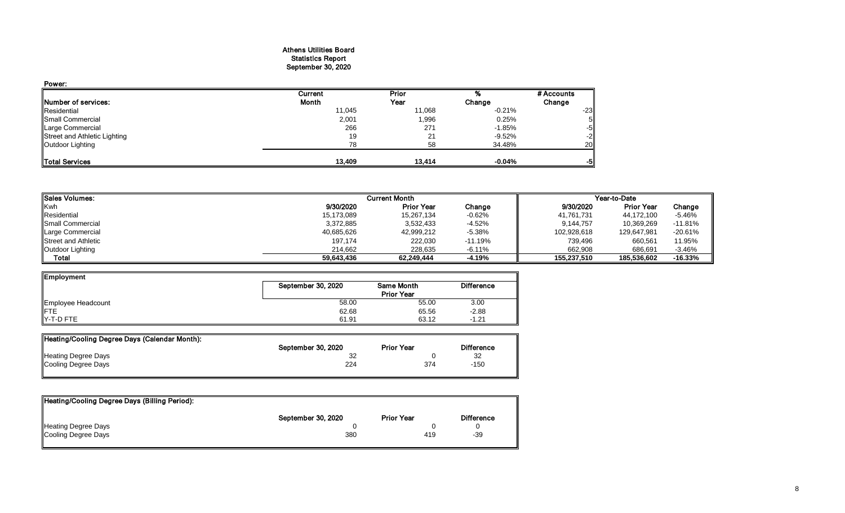#### Athens Utilities Board Statistics Report September 30, 2020

| Power:                       |         |        |          |            |
|------------------------------|---------|--------|----------|------------|
|                              | Current | Prior  |          | # Accounts |
| Number of services:          | Month   | Year   | Change   | Change     |
| Residential                  | 11,045  | 11,068 | $-0.21%$ | $-23$      |
| Small Commercial             | 2,001   | 1,996  | 0.25%    | 51         |
| Large Commercial             | 266     | 271    | $-1.85%$ | $-5$       |
| Street and Athletic Lighting | 19      | 21     | $-9.52%$ | $-2$       |
| Outdoor Lighting             | 78      | 58     | 34.48%   | 20         |
| <b>Total Services</b>        | 13.409  | 13,414 | $-0.04%$ | -51        |

| <b>I</b> Sales Volumes:    |            | <b>Current Month</b> |           |             | Year-to-Date      |           |
|----------------------------|------------|----------------------|-----------|-------------|-------------------|-----------|
| Kwh                        | 9/30/2020  | <b>Prior Year</b>    | Change    | 9/30/2020   | <b>Prior Year</b> | Change    |
| Residential                | 15,173,089 | 15,267,134           | $-0.62\%$ | 41,761,731  | 44,172,100        | $-5.46%$  |
| <b>I</b> Small Commercial  | 3,372,885  | 3,532,433            | -4.52%    | 9,144,757   | 10,369,269        | $-11.81%$ |
| Large Commercial           | 40,685,626 | 42,999,212           | $-5.38\%$ | 102,928,618 | 129,647,981       | $-20.61%$ |
| <b>Street and Athletic</b> | 197,174    | 222,030              | $-11.19%$ | 739,496     | 660,561           | 11.95%    |
| Outdoor Lighting           | 214.662    | 228.635              | $-6.11%$  | 662.908     | 686.691           | $-3.46%$  |
| Total                      | 59,643,436 | 62.249.444           | -4.19%    | 155.237.510 | 185,536,602       | $-16.33%$ |

| Employment         |                    |                   |                   |
|--------------------|--------------------|-------------------|-------------------|
|                    | September 30, 2020 | Same Month        | <b>Difference</b> |
|                    |                    | <b>Prior Year</b> |                   |
| Employee Headcount | 58.00              | 55.00             | 3.00              |
| <b>IFTE</b>        | 62.68              | 65.56             | $-2.88$           |
| $Y-T-D$ FTE        | 61.91              | 63.12             | $-1.21$           |

| Heating/Cooling Degree Days (Calendar Month): |                    |                   |                   |
|-----------------------------------------------|--------------------|-------------------|-------------------|
|                                               | September 30, 2020 | <b>Prior Year</b> | <b>Difference</b> |
| <b>Heating Degree Days</b>                    |                    |                   | 32                |
| Cooling Degree Days                           | 224                | 374               | -150              |
|                                               |                    |                   |                   |

| Heating/Cooling Degree Days (Billing Period): |                    |                   |                   |
|-----------------------------------------------|--------------------|-------------------|-------------------|
|                                               | September 30, 2020 | <b>Prior Year</b> | <b>Difference</b> |
| <b>Heating Degree Days</b>                    |                    |                   |                   |
| Cooling Degree Days                           | 380                | 419               | $-39$             |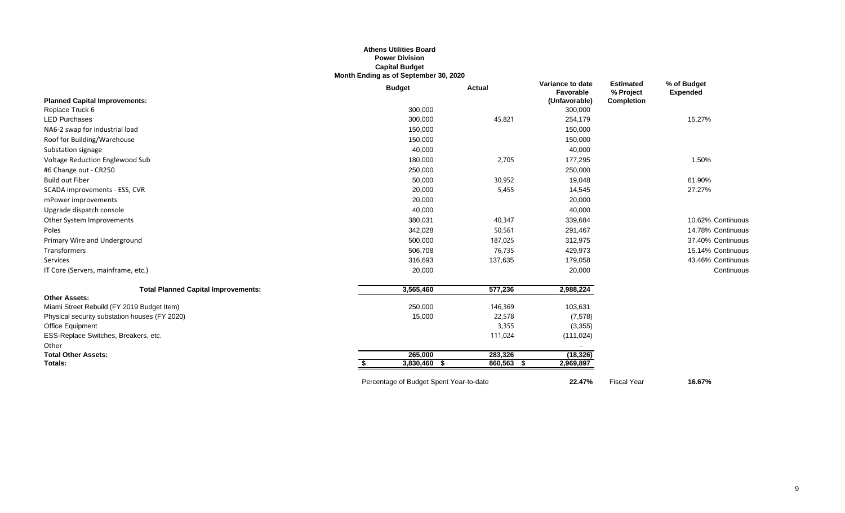## **Athens Utilities Board Power Division Capital Budget Month Ending as of September 30, 2020**

|                                               | <b>Budget</b>                           | <b>Actual</b>   | Variance to date<br>Favorable | <b>Estimated</b><br>% Project | % of Budget<br><b>Expended</b> |
|-----------------------------------------------|-----------------------------------------|-----------------|-------------------------------|-------------------------------|--------------------------------|
| <b>Planned Capital Improvements:</b>          |                                         |                 | (Unfavorable)                 | <b>Completion</b>             |                                |
| Replace Truck 6                               | 300,000                                 |                 | 300,000                       |                               |                                |
| <b>LED Purchases</b>                          | 300,000                                 | 45,821          | 254,179                       |                               | 15.27%                         |
| NA6-2 swap for industrial load                | 150,000                                 |                 | 150,000                       |                               |                                |
| Roof for Building/Warehouse                   | 150,000                                 |                 | 150,000                       |                               |                                |
| Substation signage                            | 40,000                                  |                 | 40,000                        |                               |                                |
| Voltage Reduction Englewood Sub               | 180,000                                 | 2,705           | 177,295                       |                               | 1.50%                          |
| #6 Change out - CR250                         | 250,000                                 |                 | 250,000                       |                               |                                |
| <b>Build out Fiber</b>                        | 50,000                                  | 30,952          | 19,048                        |                               | 61.90%                         |
| SCADA improvements - ESS, CVR                 | 20,000                                  | 5,455           | 14,545                        |                               | 27.27%                         |
| mPower improvements                           | 20,000                                  |                 | 20,000                        |                               |                                |
| Upgrade dispatch console                      | 40,000                                  |                 | 40,000                        |                               |                                |
| Other System Improvements                     | 380,031                                 | 40,347          | 339,684                       |                               | 10.62% Continuous              |
| Poles                                         | 342,028                                 | 50,561          | 291,467                       |                               | 14.78% Continuous              |
| Primary Wire and Underground                  | 500,000                                 | 187,025         | 312,975                       |                               | 37.40% Continuous              |
| Transformers                                  | 506,708                                 | 76,735          | 429,973                       |                               | 15.14% Continuous              |
| Services                                      | 316,693                                 | 137,635         | 179,058                       |                               | 43.46% Continuous              |
| IT Core (Servers, mainframe, etc.)            | 20,000                                  |                 | 20,000                        |                               | Continuous                     |
| <b>Total Planned Capital Improvements:</b>    | 3,565,460                               | 577,236         | 2,988,224                     |                               |                                |
| <b>Other Assets:</b>                          |                                         |                 |                               |                               |                                |
| Miami Street Rebuild (FY 2019 Budget Item)    | 250,000                                 | 146,369         | 103,631                       |                               |                                |
| Physical security substation houses (FY 2020) | 15,000                                  | 22,578          | (7,578)                       |                               |                                |
| Office Equipment                              |                                         | 3,355           | (3,355)                       |                               |                                |
| ESS-Replace Switches, Breakers, etc.          |                                         | 111,024         | (111, 024)                    |                               |                                |
| Other                                         |                                         |                 |                               |                               |                                |
| <b>Total Other Assets:</b>                    | 265,000                                 | 283,326         | (18, 326)                     |                               |                                |
| Totals:                                       | 3,830,460 \$<br>S.                      | 860,563<br>- \$ | 2,969,897                     |                               |                                |
|                                               | Percentage of Budget Spent Year-to-date |                 | 22.47%                        | <b>Fiscal Year</b>            | 16.67%                         |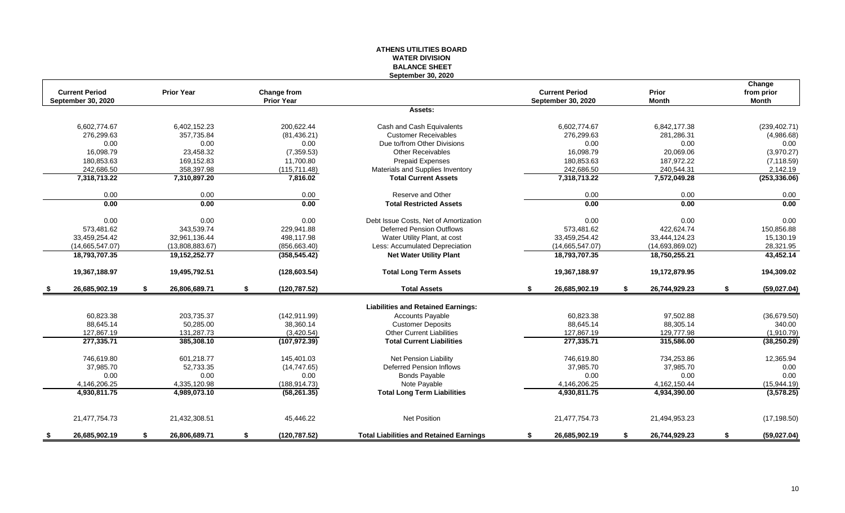## **ATHENS UTILITIES BOARD WATER DIVISION BALANCE SHEET September 30, 2020**

|      | <b>Current Period</b> |    | <b>Prior Year</b> | Change from         |                                                | <b>Current Period</b> |    | Prior           | Change<br>from prior |
|------|-----------------------|----|-------------------|---------------------|------------------------------------------------|-----------------------|----|-----------------|----------------------|
|      | September 30, 2020    |    |                   | <b>Prior Year</b>   |                                                | September 30, 2020    |    | <b>Month</b>    | Month                |
|      |                       |    |                   |                     | Assets:                                        |                       |    |                 |                      |
|      | 6,602,774.67          |    | 6,402,152.23      | 200.622.44          | Cash and Cash Equivalents                      | 6,602,774.67          |    | 6,842,177.38    | (239, 402.71)        |
|      | 276,299.63            |    | 357,735.84        | (81, 436.21)        | <b>Customer Receivables</b>                    | 276,299.63            |    | 281,286.31      | (4,986.68)           |
|      | 0.00                  |    | 0.00              | 0.00                | Due to/from Other Divisions                    | 0.00                  |    | 0.00            | 0.00                 |
|      | 16,098.79             |    | 23,458.32         | (7,359.53)          | <b>Other Receivables</b>                       | 16.098.79             |    | 20,069.06       | (3,970.27)           |
|      | 180,853.63            |    | 169,152.83        | 11,700.80           | <b>Prepaid Expenses</b>                        | 180,853.63            |    | 187,972.22      | (7, 118.59)          |
|      | 242,686.50            |    | 358,397.98        | (115, 711.48)       | Materials and Supplies Inventory               | 242,686.50            |    | 240,544.31      | 2,142.19             |
|      | 7,318,713.22          |    | 7,310,897.20      | 7,816.02            | <b>Total Current Assets</b>                    | 7,318,713.22          |    | 7,572,049.28    | (253, 336.06)        |
|      | 0.00                  |    | 0.00              | 0.00                | Reserve and Other                              | 0.00                  |    | 0.00            | 0.00                 |
|      | 0.00                  |    | 0.00              | 0.00                | <b>Total Restricted Assets</b>                 | 0.00                  |    | 0.00            | 0.00                 |
|      | 0.00                  |    | 0.00              | 0.00                | Debt Issue Costs. Net of Amortization          | 0.00                  |    | 0.00            | 0.00                 |
|      | 573.481.62            |    | 343.539.74        | 229,941.88          | <b>Deferred Pension Outflows</b>               | 573,481.62            |    | 422,624.74      | 150,856.88           |
|      | 33,459,254.42         |    | 32,961,136.44     | 498,117.98          | Water Utility Plant, at cost                   | 33,459,254.42         |    | 33,444,124.23   | 15,130.19            |
|      | (14,665,547.07)       |    | (13,808,883.67)   | (856, 663.40)       | Less: Accumulated Depreciation                 | (14,665,547.07)       |    | (14,693,869.02) | 28,321.95            |
|      | 18,793,707.35         |    | 19,152,252.77     | (358, 545.42)       | <b>Net Water Utility Plant</b>                 | 18,793,707.35         |    | 18,750,255.21   | 43,452.14            |
|      | 19,367,188.97         |    | 19,495,792.51     | (128, 603.54)       | <b>Total Long Term Assets</b>                  | 19,367,188.97         |    | 19,172,879.95   | 194,309.02           |
| - \$ | 26,685,902.19         | \$ | 26,806,689.71     | \$<br>(120, 787.52) | <b>Total Assets</b>                            | \$<br>26,685,902.19   | S. | 26,744,929.23   | \$<br>(59,027.04)    |
|      |                       |    |                   |                     | <b>Liabilities and Retained Earnings:</b>      |                       |    |                 |                      |
|      | 60,823.38             |    | 203,735.37        | (142, 911.99)       | <b>Accounts Payable</b>                        | 60,823.38             |    | 97,502.88       | (36,679.50)          |
|      | 88.645.14             |    | 50.285.00         | 38,360.14           | <b>Customer Deposits</b>                       | 88.645.14             |    | 88,305.14       | 340.00               |
|      | 127,867.19            |    | 131,287.73        | (3,420.54)          | <b>Other Current Liabilities</b>               | 127,867.19            |    | 129,777.98      | (1,910.79)           |
|      | 277,335.71            |    | 385,308.10        | (107, 972.39)       | <b>Total Current Liabilities</b>               | 277,335.71            |    | 315,586.00      | (38, 250.29)         |
|      | 746,619.80            |    | 601,218.77        | 145,401.03          | Net Pension Liability                          | 746,619.80            |    | 734,253.86      | 12,365.94            |
|      | 37,985.70             |    | 52,733.35         | (14, 747.65)        | <b>Deferred Pension Inflows</b>                | 37,985.70             |    | 37,985.70       | 0.00                 |
|      | 0.00                  |    | 0.00              | 0.00                | <b>Bonds Payable</b>                           | 0.00                  |    | 0.00            | 0.00                 |
|      | 4,146,206.25          |    | 4,335,120.98      | (188, 914.73)       | Note Payable                                   | 4,146,206.25          |    | 4,162,150.44    | (15,944.19)          |
|      | 4.930.811.75          |    | 4.989.073.10      | (58, 261.35)        | <b>Total Long Term Liabilities</b>             | 4,930,811.75          |    | 4,934,390.00    | (3,578.25)           |
|      | 21,477,754.73         |    | 21,432,308.51     | 45,446.22           | <b>Net Position</b>                            | 21,477,754.73         |    | 21,494,953.23   | (17, 198.50)         |
| - 56 | 26,685,902.19         | -S | 26,806,689.71     | \$<br>(120, 787.52) | <b>Total Liabilities and Retained Earnings</b> | \$<br>26,685,902.19   | \$ | 26,744,929.23   | \$<br>(59,027.04)    |
|      |                       |    |                   |                     |                                                |                       |    |                 |                      |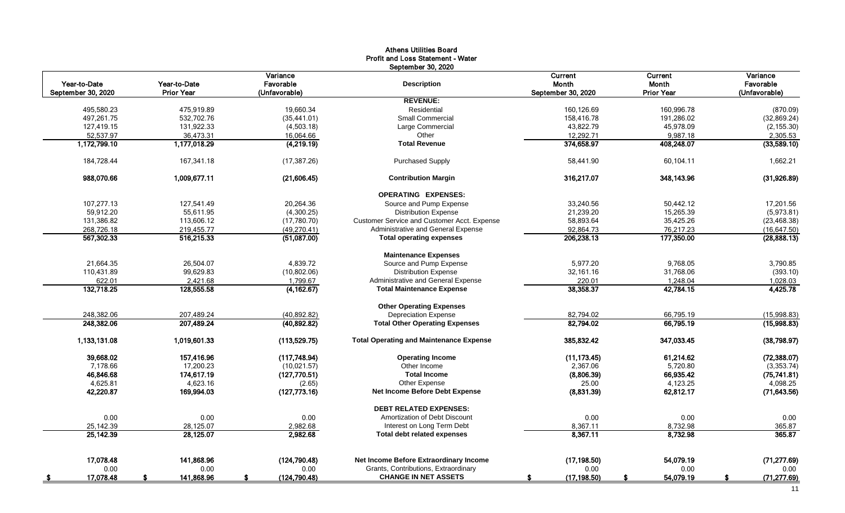| Year-to-Date<br>Year-to-Date<br>September 30, 2020<br><b>Prior Year</b><br>495,580.23<br>475,919.89<br>497,261.75<br>532,702.76 | Variance<br>Favorable<br>(Unfavorable)<br>19.660.34<br>(35, 441.01)<br>(4,503.18)<br>16,064.66<br>(4,219.19) | September 30, 2020<br><b>Description</b><br><b>REVENUE:</b><br>Residential<br><b>Small Commercial</b><br>Large Commercial<br>Other<br><b>Total Revenue</b> | Current<br>Month<br>September 30, 2020<br>160,126.69<br>158,416.78<br>43,822.79<br>12,292.71 | <b>Current</b><br><b>Month</b><br><b>Prior Year</b><br>160,996.78<br>191,286.02<br>45,978.09 | Variance<br>Favorable<br>(Unfavorable)<br>(870.09)<br>(32,869.24)<br>(2, 155.30) |
|---------------------------------------------------------------------------------------------------------------------------------|--------------------------------------------------------------------------------------------------------------|------------------------------------------------------------------------------------------------------------------------------------------------------------|----------------------------------------------------------------------------------------------|----------------------------------------------------------------------------------------------|----------------------------------------------------------------------------------|
|                                                                                                                                 |                                                                                                              |                                                                                                                                                            |                                                                                              |                                                                                              |                                                                                  |
|                                                                                                                                 |                                                                                                              |                                                                                                                                                            |                                                                                              |                                                                                              |                                                                                  |
|                                                                                                                                 |                                                                                                              |                                                                                                                                                            |                                                                                              |                                                                                              |                                                                                  |
|                                                                                                                                 |                                                                                                              |                                                                                                                                                            |                                                                                              |                                                                                              |                                                                                  |
| 127,419.15<br>131,922.33                                                                                                        |                                                                                                              |                                                                                                                                                            |                                                                                              |                                                                                              |                                                                                  |
| 52.537.97<br>36,473.31                                                                                                          |                                                                                                              |                                                                                                                                                            |                                                                                              | 9,987.18                                                                                     | 2,305.53                                                                         |
| 1,172,799.10<br>1,177,018.29                                                                                                    |                                                                                                              |                                                                                                                                                            | 374,658.97                                                                                   | 408,248.07                                                                                   | (33,589.10)                                                                      |
| 184,728.44<br>167,341.18                                                                                                        | (17, 387.26)                                                                                                 | <b>Purchased Supply</b>                                                                                                                                    | 58,441.90                                                                                    | 60,104.11                                                                                    | 1,662.21                                                                         |
| 1,009,677.11<br>988,070.66                                                                                                      | (21,606.45)                                                                                                  | <b>Contribution Margin</b>                                                                                                                                 | 316,217.07                                                                                   | 348,143.96                                                                                   | (31,926.89)                                                                      |
|                                                                                                                                 |                                                                                                              | <b>OPERATING EXPENSES:</b>                                                                                                                                 |                                                                                              |                                                                                              |                                                                                  |
| 107.277.13<br>127.541.49                                                                                                        | 20,264.36                                                                                                    | Source and Pump Expense                                                                                                                                    | 33,240.56                                                                                    | 50,442.12                                                                                    | 17,201.56                                                                        |
| 59,912.20<br>55,611.95                                                                                                          | (4,300.25)                                                                                                   | <b>Distribution Expense</b>                                                                                                                                | 21,239.20                                                                                    | 15,265.39                                                                                    | (5,973.81)                                                                       |
| 131,386.82<br>113,606.12                                                                                                        | (17,780.70)                                                                                                  | Customer Service and Customer Acct. Expense                                                                                                                | 58,893.64                                                                                    | 35,425.26                                                                                    | (23, 468.38)                                                                     |
| 268,726.18<br>219,455.77                                                                                                        | (49, 270.41)                                                                                                 | Administrative and General Expense                                                                                                                         | 92,864.73                                                                                    | 76,217.23                                                                                    | (16, 647.50)                                                                     |
| 567,302.33<br>516,215.33                                                                                                        | (51,087,00)                                                                                                  | <b>Total operating expenses</b>                                                                                                                            | 206,238.13                                                                                   | 177,350.00                                                                                   | (28, 888, 13)                                                                    |
|                                                                                                                                 |                                                                                                              | <b>Maintenance Expenses</b>                                                                                                                                |                                                                                              |                                                                                              |                                                                                  |
| 21.664.35<br>26.504.07                                                                                                          | 4.839.72                                                                                                     | Source and Pump Expense                                                                                                                                    | 5.977.20                                                                                     | 9.768.05                                                                                     | 3,790.85                                                                         |
| 110,431.89<br>99.629.83                                                                                                         | (10, 802.06)                                                                                                 | <b>Distribution Expense</b>                                                                                                                                | 32,161.16                                                                                    | 31,768.06                                                                                    | (393.10)                                                                         |
| 622.01<br>2,421.68                                                                                                              | 1,799.67                                                                                                     | Administrative and General Expense                                                                                                                         | 220.01                                                                                       | 1,248.04                                                                                     | 1,028.03                                                                         |
| 132,718.25<br>128,555.58                                                                                                        | (4, 162.67)                                                                                                  | <b>Total Maintenance Expense</b>                                                                                                                           | 38,358.37                                                                                    | 42,784.15                                                                                    | 4,425.78                                                                         |
|                                                                                                                                 |                                                                                                              | <b>Other Operating Expenses</b>                                                                                                                            |                                                                                              |                                                                                              |                                                                                  |
| 248,382.06<br>207,489.24                                                                                                        | (40, 892.82)                                                                                                 | <b>Depreciation Expense</b>                                                                                                                                | 82,794.02                                                                                    | 66,795.19                                                                                    | (15,998.83)                                                                      |
| 248,382.06<br>207,489.24                                                                                                        | (40,892.82)                                                                                                  | <b>Total Other Operating Expenses</b>                                                                                                                      | 82,794.02                                                                                    | 66,795.19                                                                                    | (15,998.83)                                                                      |
| 1,133,131.08<br>1,019,601.33                                                                                                    | (113,529.75)                                                                                                 | <b>Total Operating and Maintenance Expense</b>                                                                                                             | 385,832.42                                                                                   | 347,033.45                                                                                   | (38,798.97)                                                                      |
| 39,668.02<br>157,416.96                                                                                                         | (117,748.94)                                                                                                 | <b>Operating Income</b>                                                                                                                                    | (11, 173.45)                                                                                 | 61,214.62                                                                                    | (72, 388.07)                                                                     |
| 7,178.66<br>17,200.23                                                                                                           | (10,021.57)                                                                                                  | Other Income                                                                                                                                               | 2,367.06                                                                                     | 5,720.80                                                                                     | (3,353.74)                                                                       |
| 46,846.68<br>174,617.19                                                                                                         | (127,770.51)                                                                                                 | <b>Total Income</b>                                                                                                                                        | (8,806.39)                                                                                   | 66,935.42                                                                                    | (75, 741.81)                                                                     |
| 4,625.81<br>4,623.16                                                                                                            | (2.65)                                                                                                       | Other Expense                                                                                                                                              | 25.00                                                                                        | 4,123.25                                                                                     | 4,098.25                                                                         |
| 42,220.87<br>169,994.03                                                                                                         | (127,773.16)                                                                                                 | Net Income Before Debt Expense                                                                                                                             | (8,831.39)                                                                                   | 62,812.17                                                                                    | (71, 643.56)                                                                     |
|                                                                                                                                 |                                                                                                              | <b>DEBT RELATED EXPENSES:</b>                                                                                                                              |                                                                                              |                                                                                              |                                                                                  |
| 0.00<br>0.00                                                                                                                    | 0.00                                                                                                         | Amortization of Debt Discount                                                                                                                              | 0.00                                                                                         | 0.00                                                                                         | 0.00                                                                             |
| 25.142.39<br>28,125.07                                                                                                          | 2,982.68                                                                                                     | Interest on Long Term Debt                                                                                                                                 | 8,367.11                                                                                     | 8,732.98                                                                                     | 365.87                                                                           |
| 25,142.39<br>28,125.07                                                                                                          | 2,982.68                                                                                                     | <b>Total debt related expenses</b>                                                                                                                         | 8,367.11                                                                                     | 8,732.98                                                                                     | 365.87                                                                           |
| 17.078.48<br>141,868.96                                                                                                         | (124, 790.48)                                                                                                | Net Income Before Extraordinary Income                                                                                                                     | (17.198.50)                                                                                  | 54.079.19                                                                                    | (71, 277.69)                                                                     |
| 0.00<br>0.00                                                                                                                    | 0.00                                                                                                         | Grants, Contributions, Extraordinary                                                                                                                       | 0.00                                                                                         | 0.00                                                                                         | 0.00                                                                             |
| 17,078.48<br>141,868.96                                                                                                         | (124, 790.48)                                                                                                | <b>CHANGE IN NET ASSETS</b>                                                                                                                                | (17, 198.50)                                                                                 | 54,079.19                                                                                    | (71, 277.69)                                                                     |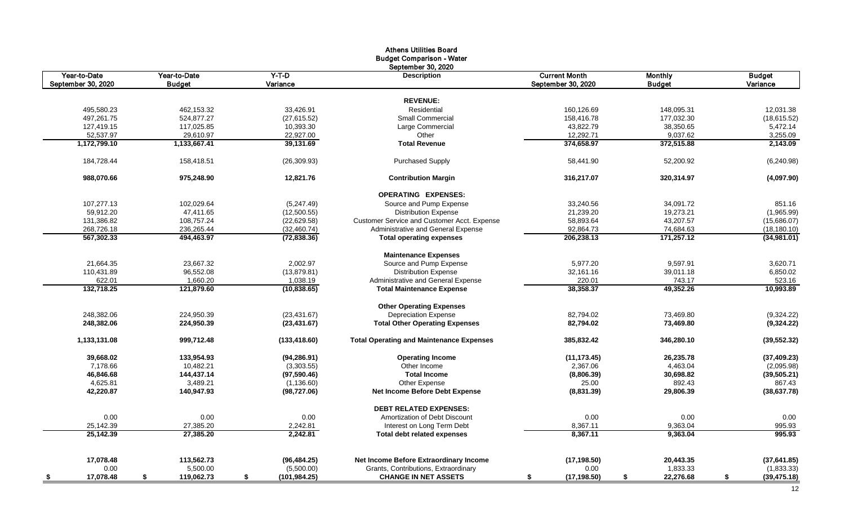|                         |                         |                             | <b>Athens Utilities Board</b>                                              |                        |                 |                    |
|-------------------------|-------------------------|-----------------------------|----------------------------------------------------------------------------|------------------------|-----------------|--------------------|
|                         |                         |                             | <b>Budget Comparison - Water</b>                                           |                        |                 |                    |
|                         |                         |                             | September 30, 2020                                                         |                        |                 |                    |
| Year-to-Date            | Year-to-Date            | Y-T-D                       | <b>Description</b>                                                         | <b>Current Month</b>   | <b>Monthly</b>  | <b>Budget</b>      |
| September 30, 2020      | <b>Budget</b>           | Variance                    |                                                                            | September 30, 2020     | <b>Budget</b>   | Variance           |
|                         |                         |                             |                                                                            |                        |                 |                    |
|                         |                         |                             | <b>REVENUE:</b>                                                            |                        |                 |                    |
| 495,580.23              | 462,153.32              | 33,426.91                   | Residential                                                                | 160,126.69             | 148,095.31      | 12,031.38          |
| 497,261.75              | 524,877.27              | (27,615.52)                 | <b>Small Commercial</b>                                                    | 158,416.78             | 177,032.30      | (18, 615.52)       |
| 127,419.15              | 117,025.85              | 10,393.30                   | Large Commercial                                                           | 43,822.79              | 38,350.65       | 5,472.14           |
| 52,537.97               | 29,610.97               | 22,927.00                   | Other                                                                      | 12,292.71              | 9,037.62        | 3,255.09           |
| 1,172,799.10            | 1,133,667.41            | 39,131.69                   | <b>Total Revenue</b>                                                       | 374,658.97             | 372,515.88      | 2,143.09           |
| 184,728.44              | 158,418.51              | (26,309.93)                 | <b>Purchased Supply</b>                                                    | 58,441.90              | 52,200.92       | (6,240.98)         |
| 988,070.66              | 975,248.90              | 12,821.76                   | <b>Contribution Margin</b>                                                 | 316,217.07             | 320,314.97      | (4,097.90)         |
|                         |                         |                             | <b>OPERATING EXPENSES:</b>                                                 |                        |                 |                    |
| 107,277.13              | 102.029.64              |                             | Source and Pump Expense                                                    | 33,240.56              |                 | 851.16             |
|                         |                         | (5,247.49)                  |                                                                            |                        | 34,091.72       | (1,965.99)         |
| 59,912.20<br>131,386.82 | 47,411.65<br>108,757.24 | (12,500.55)<br>(22, 629.58) | <b>Distribution Expense</b><br>Customer Service and Customer Acct. Expense | 21,239.20<br>58,893.64 | 19,273.21       |                    |
|                         |                         |                             |                                                                            |                        | 43,207.57       | (15,686.07)        |
| 268,726.18              | 236,265.44              | (32, 460.74)                | Administrative and General Expense                                         | 92,864.73              | 74,684.63       | (18, 180.10)       |
| 567,302.33              | 494,463.97              | (72, 838.36)                | <b>Total operating expenses</b>                                            | 206,238.13             | 171,257.12      | (34,981.01)        |
|                         |                         |                             | <b>Maintenance Expenses</b>                                                |                        |                 |                    |
| 21,664.35               | 23,667.32               | 2,002.97                    | Source and Pump Expense                                                    | 5,977.20               | 9,597.91        | 3,620.71           |
| 110,431.89              | 96,552.08               | (13,879.81)                 | <b>Distribution Expense</b>                                                | 32,161.16              | 39,011.18       | 6,850.02           |
| 622.01                  | 1,660.20                | 1,038.19                    | Administrative and General Expense                                         | 220.01                 | 743.17          | 523.16             |
| 132,718.25              | 121,879.60              | (10, 838.65)                | <b>Total Maintenance Expense</b>                                           | 38,358.37              | 49,352.26       | 10,993.89          |
|                         |                         |                             | <b>Other Operating Expenses</b>                                            |                        |                 |                    |
| 248,382.06              | 224,950.39              | (23, 431.67)                | <b>Depreciation Expense</b>                                                | 82,794.02              | 73,469.80       | (9,324.22)         |
| 248,382.06              | 224,950.39              | (23, 431.67)                | <b>Total Other Operating Expenses</b>                                      | 82,794.02              | 73,469.80       | (9,324.22)         |
| 1,133,131.08            | 999,712.48              | (133, 418.60)               | <b>Total Operating and Maintenance Expenses</b>                            | 385,832.42             | 346,280.10      | (39, 552.32)       |
| 39,668.02               | 133,954.93              | (94, 286.91)                | <b>Operating Income</b>                                                    | (11, 173.45)           | 26,235.78       | (37, 409.23)       |
| 7,178.66                | 10,482.21               | (3,303.55)                  | Other Income                                                               | 2,367.06               | 4,463.04        | (2,095.98)         |
| 46,846.68               | 144,437.14              | (97, 590.46)                | <b>Total Income</b>                                                        | (8,806.39)             | 30,698.82       | (39, 505.21)       |
| 4,625.81                | 3,489.21                | (1, 136.60)                 | Other Expense                                                              | 25.00                  | 892.43          | 867.43             |
| 42,220.87               | 140,947.93              | (98, 727.06)                | Net Income Before Debt Expense                                             | (8,831.39)             | 29,806.39       | (38, 637.78)       |
|                         |                         |                             | <b>DEBT RELATED EXPENSES:</b>                                              |                        |                 |                    |
| 0.00                    | 0.00                    | 0.00                        | Amortization of Debt Discount                                              | 0.00                   | 0.00            | 0.00               |
| 25,142.39               | 27,385.20               | 2,242.81                    | Interest on Long Term Debt                                                 | 8,367.11               | 9,363.04        | 995.93             |
| 25,142.39               | 27,385.20               | 2,242.81                    | <b>Total debt related expenses</b>                                         | 8,367.11               | 9,363.04        | 995.93             |
|                         |                         |                             |                                                                            |                        |                 |                    |
| 17,078.48               | 113,562.73              | (96, 484.25)                | Net Income Before Extraordinary Income                                     | (17, 198.50)           | 20,443.35       | (37,641.85)        |
| 0.00                    | 5,500.00                | (5,500.00)                  | Grants, Contributions, Extraordinary                                       | 0.00                   | 1,833.33        | (1,833.33)         |
| 17,078.48<br><u>\$</u>  | 119,062.73<br>\$        | \$<br>(101,984.25)          | <b>CHANGE IN NET ASSETS</b>                                                | (17, 198.50)<br>\$     | 22,276.68<br>\$ | \$<br>(39, 475.18) |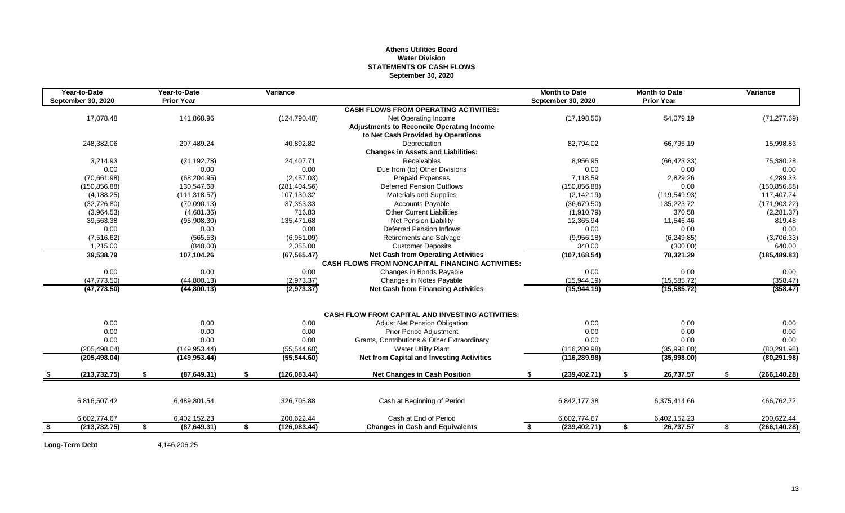## **Athens Utilities Board Water Division STATEMENTS OF CASH FLOWS September 30, 2020**

| Year-to-Date<br><b>September 30, 2020</b> | Year-to-Date<br><b>Prior Year</b> |    | Variance      |                                                         | <b>Month to Date</b><br><b>September 30, 2020</b> |      | <b>Month to Date</b><br><b>Prior Year</b> |    | Variance      |
|-------------------------------------------|-----------------------------------|----|---------------|---------------------------------------------------------|---------------------------------------------------|------|-------------------------------------------|----|---------------|
|                                           |                                   |    |               | <b>CASH FLOWS FROM OPERATING ACTIVITIES:</b>            |                                                   |      |                                           |    |               |
| 17,078.48                                 | 141,868.96                        |    | (124, 790.48) | Net Operating Income                                    | (17, 198.50)                                      |      | 54,079.19                                 |    | (71, 277.69)  |
|                                           |                                   |    |               | <b>Adjustments to Reconcile Operating Income</b>        |                                                   |      |                                           |    |               |
|                                           |                                   |    |               | to Net Cash Provided by Operations                      |                                                   |      |                                           |    |               |
| 248,382.06                                | 207,489.24                        |    | 40,892.82     | Depreciation                                            | 82,794.02                                         |      | 66,795.19                                 |    | 15,998.83     |
|                                           |                                   |    |               | <b>Changes in Assets and Liabilities:</b>               |                                                   |      |                                           |    |               |
| 3,214.93                                  | (21, 192.78)                      |    | 24.407.71     | Receivables                                             | 8.956.95                                          |      | (66, 423.33)                              |    | 75,380.28     |
| 0.00                                      | 0.00                              |    | 0.00          | Due from (to) Other Divisions                           | 0.00                                              |      | 0.00                                      |    | 0.00          |
| (70,661.98)                               | (68, 204.95)                      |    | (2,457.03)    | <b>Prepaid Expenses</b>                                 | 7,118.59                                          |      | 2,829.26                                  |    | 4,289.33      |
| (150, 856.88)                             | 130,547.68                        |    | (281, 404.56) | <b>Deferred Pension Outflows</b>                        | (150, 856.88)                                     |      | 0.00                                      |    | (150, 856.88) |
| (4, 188.25)                               | (111, 318.57)                     |    | 107,130.32    | <b>Materials and Supplies</b>                           | (2, 142.19)                                       |      | (119, 549.93)                             |    | 117,407.74    |
| (32, 726.80)                              | (70,090.13)                       |    | 37,363.33     | <b>Accounts Payable</b>                                 | (36,679.50)                                       |      | 135,223.72                                |    | (171, 903.22) |
| (3,964.53)                                | (4,681.36)                        |    | 716.83        | <b>Other Current Liabilities</b>                        | (1,910.79)                                        |      | 370.58                                    |    | (2,281.37)    |
| 39,563.38                                 | (95,908.30)                       |    | 135.471.68    | Net Pension Liability                                   | 12,365.94                                         |      | 11,546.46                                 |    | 819.48        |
| 0.00                                      | 0.00                              |    | 0.00          | Deferred Pension Inflows                                | 0.00                                              |      | 0.00                                      |    | 0.00          |
| (7,516.62)                                | (565.53)                          |    | (6,951.09)    | <b>Retirements and Salvage</b>                          | (9,956.18)                                        |      | (6,249.85)                                |    | (3,706.33)    |
| 1,215.00                                  | (840.00)                          |    | 2,055.00      | <b>Customer Deposits</b>                                | 340.00                                            |      | (300.00)                                  |    | 640.00        |
| 39,538.79                                 | 107,104.26                        |    | (67, 565.47)  | <b>Net Cash from Operating Activities</b>               | (107, 168.54)                                     |      | 78,321.29                                 |    | (185, 489.83) |
|                                           |                                   |    |               | <b>CASH FLOWS FROM NONCAPITAL FINANCING ACTIVITIES:</b> |                                                   |      |                                           |    |               |
| 0.00                                      | 0.00                              |    | 0.00          | Changes in Bonds Payable                                | 0.00                                              |      | 0.00                                      |    | 0.00          |
| (47, 773.50)                              | (44,800.13)                       |    | (2,973.37)    | Changes in Notes Payable                                | (15,944.19)                                       |      | (15, 585.72)                              |    | (358.47)      |
| (47, 773.50)                              | (44,800.13)                       |    | (2,973.37)    | <b>Net Cash from Financing Activities</b>               | (15, 944.19)                                      |      | (15, 585.72)                              |    | (358.47)      |
|                                           |                                   |    |               | <b>CASH FLOW FROM CAPITAL AND INVESTING ACTIVITIES:</b> |                                                   |      |                                           |    |               |
| 0.00                                      | 0.00                              |    | 0.00          | Adjust Net Pension Obligation                           | 0.00                                              |      | 0.00                                      |    | 0.00          |
| 0.00                                      | 0.00                              |    | 0.00          | <b>Prior Period Adjustment</b>                          | 0.00                                              |      | 0.00                                      |    | 0.00          |
| 0.00                                      | 0.00                              |    | 0.00          | Grants, Contributions & Other Extraordinary             | 0.00                                              |      | 0.00                                      |    | 0.00          |
| (205, 498.04)                             | (149.953.44)                      |    | (55, 544.60)  | <b>Water Utility Plant</b>                              | (116, 289.98)                                     |      | (35,998.00)                               |    | (80, 291.98)  |
| (205, 498.04)                             | (149, 953.44)                     |    | (55, 544.60)  | <b>Net from Capital and Investing Activities</b>        | (116, 289.98)                                     |      | (35,998.00)                               |    | (80, 291.98)  |
| (213, 732.75)                             | \$<br>(87, 649.31)                | \$ | (126,083.44)  | <b>Net Changes in Cash Position</b>                     | \$<br>(239, 402.71)                               | S.   | 26,737.57                                 | S. | (266, 140.28) |
|                                           |                                   |    |               |                                                         |                                                   |      |                                           |    |               |
| 6,816,507.42                              | 6,489,801.54                      |    | 326,705.88    | Cash at Beginning of Period                             | 6,842,177.38                                      |      | 6,375,414.66                              |    | 466,762.72    |
| 6,602,774.67                              | 6,402,152.23                      |    | 200,622.44    | Cash at End of Period                                   | 6,602,774.67                                      |      | 6,402,152.23                              |    | 200,622.44    |
| (213, 732, 75)                            | \$<br>(87, 649.31)                | S. | (126,083.44)  | <b>Changes in Cash and Equivalents</b>                  | (239, 402.71)                                     | - \$ | 26,737.57                                 | S. | (266, 140.28) |

**Long-Term Debt** 4,146,206.25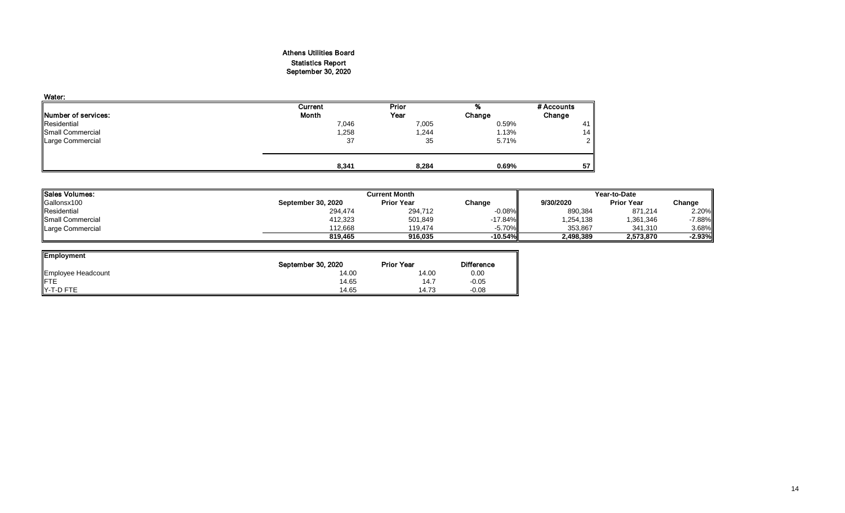## Athens Utilities Board Statistics Report September 30, 2020

| Water:                      |         |       |        |            |
|-----------------------------|---------|-------|--------|------------|
|                             | Current | Prior | %      | # Accounts |
| <b>INumber of services:</b> | Month   | Year  | Change | Change     |
| Residential                 | 7,046   | 7,005 | 0.59%  | -41        |
| Small Commercial            | 1,258   | 1,244 | 1.13%  | 14         |
| Large Commercial            | 37      | 35    | 5.71%  | ົ          |
|                             |         |       |        |            |
|                             | 8,341   | 8,284 | 0.69%  | 57         |

| <b>Sales Volumes:</b>   |                    | <b>Current Month</b> | Year-to-Date |           |                   |           |
|-------------------------|--------------------|----------------------|--------------|-----------|-------------------|-----------|
| Gallonsx100             | September 30, 2020 | <b>Prior Year</b>    | Change       | 9/30/2020 | <b>Prior Year</b> | Change    |
| Residential             | 294,474            | 294,712              | $-0.08%$     | 890,384   | 871,214           | 2.20%     |
| <b>Small Commercial</b> | 412,323            | 501,849              | $-17.84%$    | 1,254,138 | 1,361,346         | $-7.88\%$ |
| Large Commercial        | 112.668            | 119.474              | $-5.70\%$    | 353,867   | 341,310           | 3.68%     |
|                         | 819.465            | 916.035              | $-10.54%$    | 2,498,389 | 2,573,870         | $-2.93%$  |

| <b>Employment</b>  |                    |                   |                   |
|--------------------|--------------------|-------------------|-------------------|
|                    | September 30, 2020 | <b>Prior Year</b> | <b>Difference</b> |
| Employee Headcount | 14.00              | 14.00             | 0.00              |
| <b>FTE</b>         | 14.65              | 14.7              | $-0.05$           |
| Y-T-D FTE          | 14.65              | 14.73             | $-0.08$           |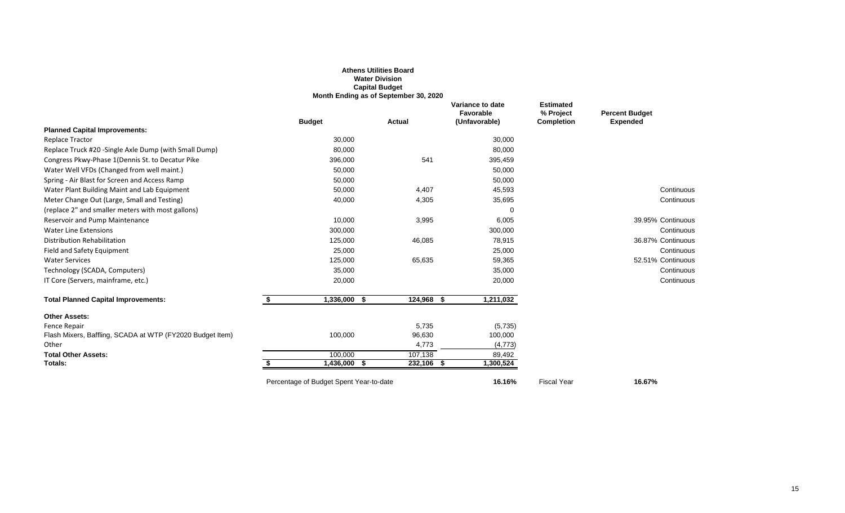|                                                           |                                         | <b>Athens Utilities Board</b><br><b>Water Division</b><br><b>Capital Budget</b><br>Month Ending as of September 30, 2020 |                                                |                                                    |                                          |
|-----------------------------------------------------------|-----------------------------------------|--------------------------------------------------------------------------------------------------------------------------|------------------------------------------------|----------------------------------------------------|------------------------------------------|
|                                                           | <b>Budget</b>                           | <b>Actual</b>                                                                                                            | Variance to date<br>Favorable<br>(Unfavorable) | <b>Estimated</b><br>% Project<br><b>Completion</b> | <b>Percent Budget</b><br><b>Expended</b> |
| <b>Planned Capital Improvements:</b>                      |                                         |                                                                                                                          |                                                |                                                    |                                          |
| <b>Replace Tractor</b>                                    | 30,000                                  |                                                                                                                          | 30,000                                         |                                                    |                                          |
| Replace Truck #20 - Single Axle Dump (with Small Dump)    | 80,000                                  |                                                                                                                          | 80,000                                         |                                                    |                                          |
| Congress Pkwy-Phase 1(Dennis St. to Decatur Pike          | 396,000                                 | 541                                                                                                                      | 395,459                                        |                                                    |                                          |
| Water Well VFDs (Changed from well maint.)                | 50,000                                  |                                                                                                                          | 50,000                                         |                                                    |                                          |
| Spring - Air Blast for Screen and Access Ramp             | 50,000                                  |                                                                                                                          | 50,000                                         |                                                    |                                          |
| Water Plant Building Maint and Lab Equipment              | 50,000                                  | 4,407                                                                                                                    | 45,593                                         |                                                    | Continuous                               |
| Meter Change Out (Large, Small and Testing)               | 40,000                                  | 4,305                                                                                                                    | 35,695                                         |                                                    | Continuous                               |
| (replace 2" and smaller meters with most gallons)         |                                         |                                                                                                                          |                                                |                                                    |                                          |
| Reservoir and Pump Maintenance                            | 10,000                                  | 3,995                                                                                                                    | 6,005                                          |                                                    | 39.95% Continuous                        |
| <b>Water Line Extensions</b>                              | 300,000                                 |                                                                                                                          | 300,000                                        |                                                    | Continuous                               |
| <b>Distribution Rehabilitation</b>                        | 125,000                                 | 46,085                                                                                                                   | 78,915                                         |                                                    | 36.87% Continuous                        |
| Field and Safety Equipment                                | 25,000                                  |                                                                                                                          | 25,000                                         |                                                    | Continuous                               |
| <b>Water Services</b>                                     | 125,000                                 | 65,635                                                                                                                   | 59,365                                         |                                                    | 52.51% Continuous                        |
| Technology (SCADA, Computers)                             | 35,000                                  |                                                                                                                          | 35,000                                         |                                                    | Continuous                               |
| IT Core (Servers, mainframe, etc.)                        | 20,000                                  |                                                                                                                          | 20,000                                         |                                                    | Continuous                               |
| <b>Total Planned Capital Improvements:</b>                | $1,336,000$ \$<br>\$                    | $124,968$ \$                                                                                                             | 1,211,032                                      |                                                    |                                          |
| <b>Other Assets:</b>                                      |                                         |                                                                                                                          |                                                |                                                    |                                          |
| Fence Repair                                              |                                         | 5,735                                                                                                                    | (5,735)                                        |                                                    |                                          |
| Flash Mixers, Baffling, SCADA at WTP (FY2020 Budget Item) | 100,000                                 | 96,630                                                                                                                   | 100,000                                        |                                                    |                                          |
| Other                                                     |                                         | 4,773                                                                                                                    | (4, 773)                                       |                                                    |                                          |
| <b>Total Other Assets:</b>                                | 100,000                                 | 107,138                                                                                                                  | 89,492                                         |                                                    |                                          |
| Totals:                                                   | 1,436,000<br>\$                         | 232,106<br>\$<br>\$                                                                                                      | 1,300,524                                      |                                                    |                                          |
|                                                           | Percentage of Budget Spent Year-to-date |                                                                                                                          | 16.16%                                         | <b>Fiscal Year</b>                                 | 16.67%                                   |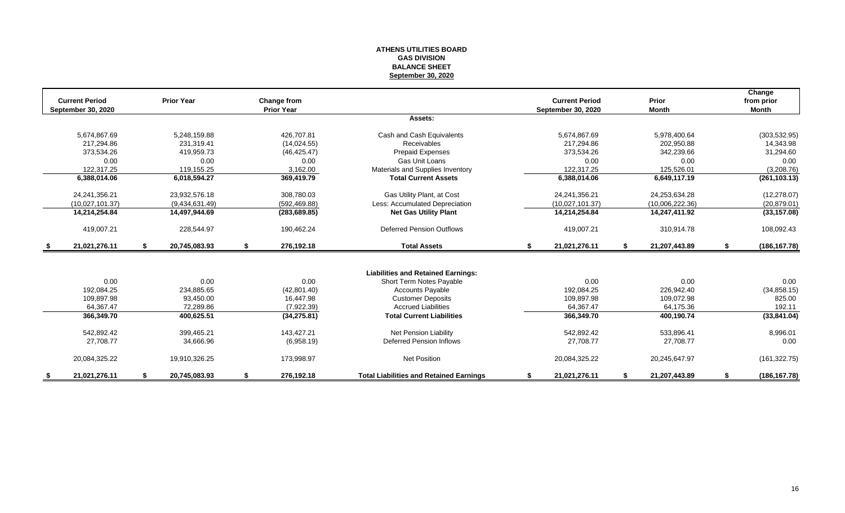#### **ATHENS UTILITIES BOARD GAS DIVISION BALANCE SHEET September 30, 2020**

| <b>Current Period</b><br>September 30, 2020 | <b>Prior Year</b>   | Change from<br><b>Prior Year</b> |                                                |    | <b>Current Period</b><br><b>September 30, 2020</b> |    | Prior<br><b>Month</b> |    | Change<br>from prior<br><b>Month</b> |
|---------------------------------------------|---------------------|----------------------------------|------------------------------------------------|----|----------------------------------------------------|----|-----------------------|----|--------------------------------------|
|                                             |                     |                                  | Assets:                                        |    |                                                    |    |                       |    |                                      |
| 5,674,867.69                                | 5,248,159.88        | 426,707.81                       | Cash and Cash Equivalents                      |    | 5,674,867.69                                       |    | 5,978,400.64          |    | (303, 532.95)                        |
| 217.294.86                                  | 231.319.41          | (14,024.55)                      | Receivables                                    |    | 217,294.86                                         |    | 202,950.88            |    | 14,343.98                            |
| 373,534.26                                  | 419,959.73          | (46, 425.47)                     | <b>Prepaid Expenses</b>                        |    | 373,534.26                                         |    | 342,239.66            |    | 31,294.60                            |
| 0.00                                        | 0.00                | 0.00                             | Gas Unit Loans                                 |    | 0.00                                               |    | 0.00                  |    | 0.00                                 |
| 122,317.25                                  | 119,155.25          | 3,162.00                         | Materials and Supplies Inventory               |    | 122,317.25                                         |    | 125,526.01            |    | (3,208.76)                           |
| 6,388,014.06                                | 6,018,594.27        | 369,419.79                       | <b>Total Current Assets</b>                    |    | 6,388,014.06                                       |    | 6,649,117.19          |    | (261, 103.13)                        |
| 24,241,356.21                               | 23,932,576.18       | 308,780.03                       | Gas Utility Plant, at Cost                     |    | 24,241,356.21                                      |    | 24,253,634.28         |    | (12, 278.07)                         |
| (10.027.101.37)                             | (9,434,631.49)      | (592, 469.88)                    | Less: Accumulated Depreciation                 |    | (10.027, 101.37)                                   |    | (10.006, 222.36)      |    | (20, 879.01)                         |
| 14,214,254.84                               | 14,497,944.69       | (283, 689.85)                    | <b>Net Gas Utility Plant</b>                   |    | 14,214,254.84                                      |    | 14,247,411.92         |    | (33, 157.08)                         |
| 419,007.21                                  | 228,544.97          | 190,462.24                       | <b>Deferred Pension Outflows</b>               |    | 419,007.21                                         |    | 310,914.78            |    | 108,092.43                           |
| \$<br>21,021,276.11                         | \$<br>20,745,083.93 | \$<br>276,192.18                 | <b>Total Assets</b>                            | \$ | 21,021,276.11                                      | S. | 21,207,443.89         | S. | (186, 167.78)                        |
|                                             |                     |                                  |                                                |    |                                                    |    |                       |    |                                      |
|                                             |                     |                                  | <b>Liabilities and Retained Earnings:</b>      |    |                                                    |    |                       |    |                                      |
| 0.00                                        | 0.00                | 0.00                             | Short Term Notes Payable                       |    | 0.00                                               |    | 0.00                  |    | 0.00                                 |
| 192,084.25                                  | 234,885.65          | (42,801.40)                      | <b>Accounts Payable</b>                        |    | 192,084.25                                         |    | 226,942.40            |    | (34, 858.15)                         |
| 109,897.98                                  | 93,450.00           | 16.447.98                        | <b>Customer Deposits</b>                       |    | 109,897.98                                         |    | 109,072.98            |    | 825.00                               |
| 64,367.47                                   | 72,289.86           | (7,922.39)                       | <b>Accrued Liabilities</b>                     |    | 64,367.47                                          |    | 64,175.36             |    | 192.11                               |
| 366,349.70                                  | 400,625.51          | (34, 275.81)                     | <b>Total Current Liabilities</b>               |    | 366,349.70                                         |    | 400,190.74            |    | (33,841.04)                          |
| 542,892.42                                  | 399,465.21          | 143,427.21                       | <b>Net Pension Liability</b>                   |    | 542,892.42                                         |    | 533,896.41            |    | 8,996.01                             |
| 27,708.77                                   | 34,666.96           | (6,958.19)                       | Deferred Pension Inflows                       |    | 27,708.77                                          |    | 27,708.77             |    | 0.00                                 |
| 20,084,325.22                               | 19,910,326.25       | 173,998.97                       | <b>Net Position</b>                            |    | 20,084,325.22                                      |    | 20,245,647.97         |    | (161, 322.75)                        |
| 21,021,276.11                               | \$<br>20,745,083.93 | \$<br>276,192.18                 | <b>Total Liabilities and Retained Earnings</b> | S  | 21,021,276.11                                      | S  | 21,207,443.89         | \$ | (186, 167.78)                        |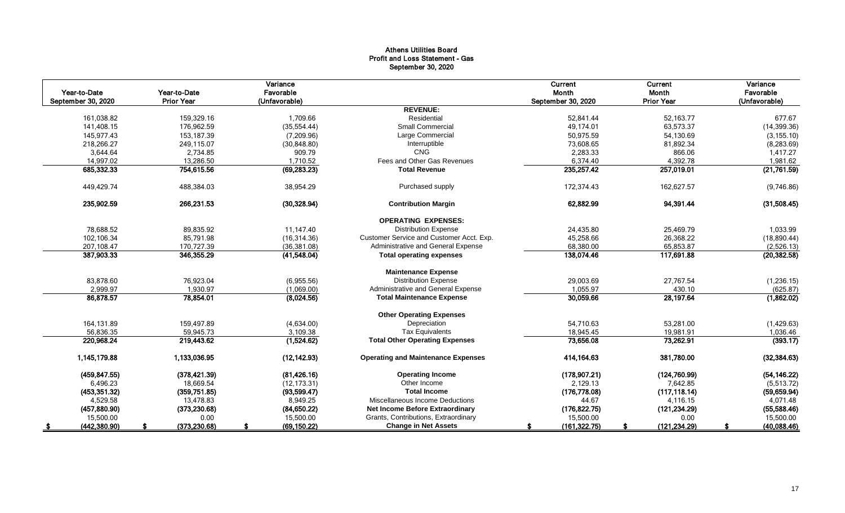## Athens Utilities Board Profit and Loss Statement - Gas September 30, 2020

|                    |                   | Variance      |                                           | Current            | Current           | Variance      |
|--------------------|-------------------|---------------|-------------------------------------------|--------------------|-------------------|---------------|
| Year-to-Date       | Year-to-Date      | Favorable     |                                           | Month              | Month             | Favorable     |
| September 30, 2020 | <b>Prior Year</b> | (Unfavorable) |                                           | September 30, 2020 | <b>Prior Year</b> | (Unfavorable) |
|                    |                   |               | <b>REVENUE:</b>                           |                    |                   |               |
| 161,038.82         | 159,329.16        | 1,709.66      | Residential                               | 52,841.44          | 52,163.77         | 677.67        |
| 141,408.15         | 176,962.59        | (35, 554.44)  | <b>Small Commercial</b>                   | 49.174.01          | 63,573.37         | (14, 399.36)  |
| 145,977.43         | 153,187.39        | (7,209.96)    | Large Commercial                          | 50,975.59          | 54,130.69         | (3, 155.10)   |
| 218,266.27         | 249,115.07        | (30, 848.80)  | Interruptible                             | 73,608.65          | 81,892.34         | (8, 283.69)   |
| 3,644.64           | 2,734.85          | 909.79        | CNG                                       | 2,283.33           | 866.06            | 1,417.27      |
| 14,997.02          | 13,286.50         | 1,710.52      | Fees and Other Gas Revenues               | 6,374.40           | 4,392.78          | 1,981.62      |
| 685,332.33         | 754,615.56        | (69, 283.23)  | <b>Total Revenue</b>                      | 235,257.42         | 257,019.01        | (21,761.59)   |
| 449,429.74         | 488,384.03        | 38,954.29     | Purchased supply                          | 172,374.43         | 162,627.57        | (9,746.86)    |
| 235,902.59         | 266,231.53        | (30, 328.94)  | <b>Contribution Margin</b>                | 62,882.99          | 94,391.44         | (31,508.45)   |
|                    |                   |               | <b>OPERATING EXPENSES:</b>                |                    |                   |               |
| 78,688.52          | 89,835.92         | 11,147.40     | <b>Distribution Expense</b>               | 24,435.80          | 25,469.79         | 1,033.99      |
| 102,106.34         | 85,791.98         | (16, 314.36)  | Customer Service and Customer Acct. Exp.  | 45,258.66          | 26,368.22         | (18,890.44)   |
| 207,108.47         | 170,727.39        | (36, 381.08)  | Administrative and General Expense        | 68,380.00          | 65,853.87         | (2,526.13)    |
| 387,903.33         | 346,355.29        | (41,548.04)   | <b>Total operating expenses</b>           | 138,074.46         | 117,691.88        | (20, 382.58)  |
|                    |                   |               | <b>Maintenance Expense</b>                |                    |                   |               |
| 83,878.60          | 76,923.04         | (6,955.56)    | <b>Distribution Expense</b>               | 29,003.69          | 27,767.54         | (1, 236.15)   |
| 2,999.97           | 1,930.97          | (1,069.00)    | Administrative and General Expense        | 1,055.97           | 430.10            | (625.87)      |
| 86,878.57          | 78,854.01         | (8,024.56)    | <b>Total Maintenance Expense</b>          | 30,059.66          | 28,197.64         | (1,862.02)    |
|                    |                   |               | <b>Other Operating Expenses</b>           |                    |                   |               |
| 164,131.89         | 159,497.89        | (4,634.00)    | Depreciation                              | 54,710.63          | 53,281.00         | (1,429.63)    |
| 56.836.35          | 59.945.73         | 3,109.38      | <b>Tax Equivalents</b>                    | 18.945.45          | 19,981.91         | 1.036.46      |
| 220,968.24         | 219,443.62        | (1,524.62)    | <b>Total Other Operating Expenses</b>     | 73,656.08          | 73,262.91         | (393.17)      |
| 1,145,179.88       | 1,133,036.95      | (12, 142.93)  | <b>Operating and Maintenance Expenses</b> | 414, 164.63        | 381,780.00        | (32, 384.63)  |
| (459, 847.55)      | (378, 421.39)     | (81, 426.16)  | <b>Operating Income</b>                   | (178,907.21)       | (124, 760.99)     | (54, 146.22)  |
| 6,496.23           | 18,669.54         | (12, 173.31)  | Other Income                              | 2,129.13           | 7,642.85          | (5,513.72)    |
| (453, 351.32)      | (359, 751.85)     | (93, 599.47)  | <b>Total Income</b>                       | (176, 778.08)      | (117, 118.14)     | (59, 659.94)  |
| 4,529.58           | 13,478.83         | 8.949.25      | Miscellaneous Income Deductions           | 44.67              | 4,116.15          | 4,071.48      |
| (457, 880.90)      | (373, 230.68)     | (84, 650.22)  | Net Income Before Extraordinary           | (176, 822.75)      | (121, 234.29)     | (55,588.46)   |
| 15,500.00          | 0.00              | 15,500.00     | Grants, Contributions, Extraordinary      | 15,500.00          | 0.00              | 15,500.00     |
| (442, 380.90)      | (373, 230.68)     | (69, 150.22)  | <b>Change in Net Assets</b>               | (161, 322.75)      | (121, 234.29)     | (40,088.46)   |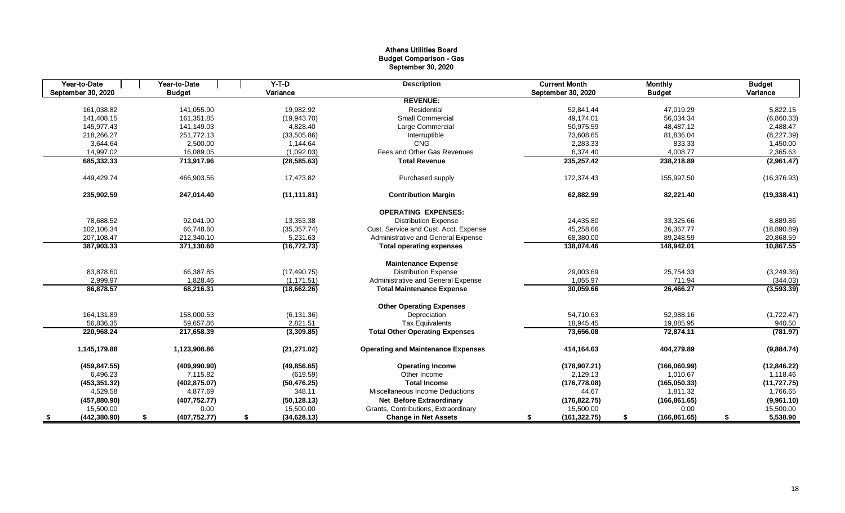## Athens Utilities Board Budget Comparison - Gas September 30, 2020

| Year-to-Date       | Year-to-Date        | $Y-T-D$            | <b>Description</b>                        | <b>Current Month</b> | <b>Monthly</b>      | <b>Budget</b>  |
|--------------------|---------------------|--------------------|-------------------------------------------|----------------------|---------------------|----------------|
| September 30, 2020 | <b>Budget</b>       | Variance           |                                           | September 30, 2020   | <b>Budget</b>       | Variance       |
|                    |                     |                    | <b>REVENUE:</b>                           |                      |                     |                |
| 161.038.82         | 141.055.90          | 19.982.92          | Residential                               | 52.841.44            | 47,019.29           | 5,822.15       |
| 141,408.15         | 161,351.85          | (19, 943.70)       | <b>Small Commercial</b>                   | 49.174.01            | 56,034.34           | (6,860.33)     |
| 145,977.43         | 141,149.03          | 4,828.40           | Large Commercial                          | 50,975.59            | 48,487.12           | 2,488.47       |
| 218,266.27         | 251,772.13          | (33,505.86)        | Interruptible                             | 73,608.65            | 81,836.04           | (8,227.39)     |
| 3,644.64           | 2,500.00            | 1,144.64           | <b>CNG</b>                                | 2,283.33             | 833.33              | 1,450.00       |
| 14,997.02          | 16,089.05           | (1,092.03)         | Fees and Other Gas Revenues               | 6,374.40             | 4,008.77            | 2,365.63       |
| 685,332.33         | 713,917.96          | (28, 585.63)       | <b>Total Revenue</b>                      | 235,257.42           | 238,218.89          | (2,961.47)     |
| 449,429.74         | 466,903.56          | 17,473.82          | Purchased supply                          | 172,374.43           | 155,997.50          | (16, 376.93)   |
| 235,902.59         | 247,014.40          | (11, 111.81)       | <b>Contribution Margin</b>                | 62,882.99            | 82,221.40           | (19, 338.41)   |
|                    |                     |                    | <b>OPERATING EXPENSES:</b>                |                      |                     |                |
| 78,688.52          | 92,041.90           | 13,353.38          | <b>Distribution Expense</b>               | 24,435.80            | 33,325.66           | 8,889.86       |
| 102,106.34         | 66,748.60           | (35, 357.74)       | Cust. Service and Cust. Acct. Expense     | 45,258.66            | 26,367.77           | (18,890.89)    |
| 207,108.47         | 212,340.10          | 5,231.63           | Administrative and General Expense        | 68,380.00            | 89,248.59           | 20,868.59      |
| 387,903.33         | 371,130.60          | (16, 772.73)       | <b>Total operating expenses</b>           | 138,074.46           | 148,942.01          | 10,867.55      |
|                    |                     |                    | <b>Maintenance Expense</b>                |                      |                     |                |
| 83,878.60          | 66,387.85           | (17, 490.75)       | <b>Distribution Expense</b>               | 29,003.69            | 25,754.33           | (3,249.36)     |
| 2,999.97           | 1,828.46            | (1, 171.51)        | Administrative and General Expense        | 1,055.97             | 711.94              | (344.03)       |
| 86,878.57          | 68,216.31           | (18,662.26)        | <b>Total Maintenance Expense</b>          | 30,059.66            | 26,466.27           | (3,593.39)     |
|                    |                     |                    | <b>Other Operating Expenses</b>           |                      |                     |                |
| 164,131.89         | 158,000.53          | (6, 131.36)        | Depreciation                              | 54,710.63            | 52,988.16           | (1,722.47)     |
| 56.836.35          | 59,657.86           | 2.821.51           | <b>Tax Equivalents</b>                    | 18.945.45            | 19,885.95           | 940.50         |
| 220,968.24         | 217,658.39          | (3,309.85)         | <b>Total Other Operating Expenses</b>     | 73,656.08            | 72,874.11           | (781.97)       |
| 1,145,179.88       | 1,123,908.86        | (21, 271.02)       | <b>Operating and Maintenance Expenses</b> | 414,164.63           | 404,279.89          | (9,884.74)     |
| (459, 847.55)      | (409, 990.90)       | (49, 856.65)       | <b>Operating Income</b>                   | (178, 907.21)        | (166,060.99)        | (12, 846.22)   |
| 6,496.23           | 7,115.82            | (619.59)           | Other Income                              | 2,129.13             | 1,010.67            | 1,118.46       |
| (453, 351.32)      | (402, 875.07)       | (50, 476.25)       | <b>Total Income</b>                       | (176, 778.08)        | (165,050.33)        | (11, 727.75)   |
| 4,529.58           | 4,877.69            | 348.11             | Miscellaneous Income Deductions           | 44.67                | 1,811.32            | 1,766.65       |
| (457, 880.90)      | (407, 752.77)       | (50, 128.13)       | <b>Net Before Extraordinary</b>           | (176, 822.75)        | (166, 861.65)       | (9,961.10)     |
| 15,500.00          | 0.00                | 15,500.00          | Grants, Contributions, Extraordinary      | 15,500.00            | 0.00                | 15,500.00      |
| (442, 380.90)      | (407, 752.77)<br>S. | \$<br>(34, 628.13) | <b>Change in Net Assets</b>               | (161, 322.75)<br>S   | (166, 861.65)<br>\$ | 5,538.90<br>\$ |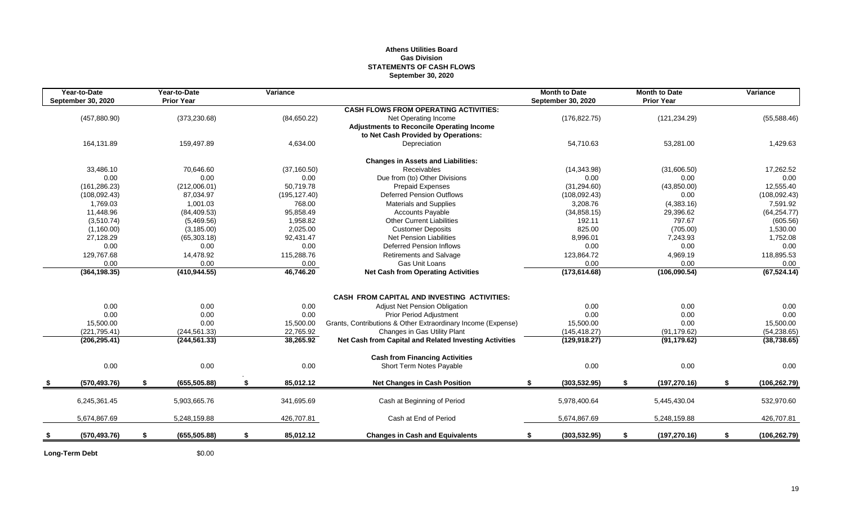## **Athens Utilities Board Gas Division STATEMENTS OF CASH FLOWS September 30, 2020**

|      | Year-to-Date<br><b>September 30, 2020</b> | Year-to-Date<br><b>Prior Year</b> | Variance        |                                                              | <b>Month to Date</b><br><b>September 30, 2020</b> | <b>Month to Date</b><br><b>Prior Year</b> | Variance            |
|------|-------------------------------------------|-----------------------------------|-----------------|--------------------------------------------------------------|---------------------------------------------------|-------------------------------------------|---------------------|
|      |                                           |                                   |                 | <b>CASH FLOWS FROM OPERATING ACTIVITIES:</b>                 |                                                   |                                           |                     |
|      | (457, 880.90)                             | (373, 230.68)                     | (84, 650.22)    | Net Operating Income                                         | (176, 822.75)                                     | (121, 234.29)                             | (55,588.46)         |
|      |                                           |                                   |                 | <b>Adjustments to Reconcile Operating Income</b>             |                                                   |                                           |                     |
|      |                                           |                                   |                 | to Net Cash Provided by Operations:                          |                                                   |                                           |                     |
|      | 164,131.89                                | 159,497.89                        | 4,634.00        | Depreciation                                                 | 54,710.63                                         | 53,281.00                                 | 1,429.63            |
|      |                                           |                                   |                 | <b>Changes in Assets and Liabilities:</b>                    |                                                   |                                           |                     |
|      | 33,486.10                                 | 70.646.60                         | (37, 160.50)    | Receivables                                                  | (14, 343.98)                                      | (31,606.50)                               | 17,262.52           |
|      | 0.00                                      | 0.00                              | 0.00            | Due from (to) Other Divisions                                | 0.00                                              | 0.00                                      | 0.00                |
|      | (161, 286.23)                             | (212,006.01)                      | 50,719.78       | <b>Prepaid Expenses</b>                                      | (31, 294.60)                                      | (43,850.00)                               | 12,555.40           |
|      | (108, 092.43)                             | 87,034.97                         | (195, 127.40)   | <b>Deferred Pension Outflows</b>                             | (108,092.43)                                      | 0.00                                      | (108, 092.43)       |
|      | 1,769.03                                  | 1,001.03                          | 768.00          | <b>Materials and Supplies</b>                                | 3,208.76                                          | (4,383.16)                                | 7,591.92            |
|      | 11,448.96                                 | (84, 409.53)                      | 95,858.49       | <b>Accounts Payable</b>                                      | (34, 858.15)                                      | 29,396.62                                 | (64, 254.77)        |
|      | (3,510.74)                                | (5,469.56)                        | 1,958.82        | <b>Other Current Liabilities</b>                             | 192.11                                            | 797.67                                    | (605.56)            |
|      | (1,160.00)                                | (3, 185.00)                       | 2,025.00        | <b>Customer Deposits</b>                                     | 825.00                                            | (705.00)                                  | 1,530.00            |
|      | 27,128.29                                 | (65, 303.18)                      | 92,431.47       | Net Pension Liabilities                                      | 8,996.01                                          | 7,243.93                                  | 1,752.08            |
|      | 0.00                                      | 0.00                              | 0.00            | Deferred Pension Inflows                                     | 0.00                                              | 0.00                                      | 0.00                |
|      | 129,767.68                                | 14,478.92                         | 115,288.76      | <b>Retirements and Salvage</b>                               | 123,864.72                                        | 4,969.19                                  | 118,895.53          |
|      | 0.00                                      | 0.00                              | $0.00\,$        | Gas Unit Loans                                               | 0.00                                              | 0.00                                      | 0.00                |
|      | (364, 198.35)                             | (410, 944.55)                     | 46,746.20       | <b>Net Cash from Operating Activities</b>                    | (173, 614.68)                                     | (106,090.54)                              | (67, 524.14)        |
|      |                                           |                                   |                 |                                                              |                                                   |                                           |                     |
|      |                                           |                                   |                 | <b>CASH FROM CAPITAL AND INVESTING ACTIVITIES:</b>           |                                                   |                                           |                     |
|      | 0.00                                      | 0.00                              | 0.00            | Adjust Net Pension Obligation                                | 0.00                                              | 0.00                                      | 0.00                |
|      | 0.00                                      | 0.00                              | 0.00            | Prior Period Adjustment                                      | 0.00                                              | 0.00                                      | 0.00                |
|      | 15,500.00                                 | 0.00                              | 15,500.00       | Grants, Contributions & Other Extraordinary Income (Expense) | 15,500.00                                         | 0.00                                      | 15,500.00           |
|      | (221, 795.41)                             | (244, 561.33)                     | 22,765.92       | Changes in Gas Utility Plant                                 | (145, 418.27)                                     | (91, 179.62)                              | (54, 238.65)        |
|      | (206, 295.41)                             | (244, 561.33)                     | 38,265.92       | Net Cash from Capital and Related Investing Activities       | (129, 918.27)                                     | (91, 179.62)                              | (38, 738.65)        |
|      |                                           |                                   |                 | <b>Cash from Financing Activities</b>                        |                                                   |                                           |                     |
|      | 0.00                                      | 0.00                              | 0.00            | Short Term Notes Payable                                     | 0.00                                              | 0.00                                      | 0.00                |
| - \$ | (570, 493.76)                             | \$<br>(655, 505.88)               | \$<br>85,012.12 | <b>Net Changes in Cash Position</b>                          | (303, 532.95)<br>\$                               | (197, 270.16)<br>\$                       | \$<br>(106, 262.79) |
|      |                                           |                                   |                 |                                                              |                                                   |                                           |                     |
|      | 6,245,361.45                              | 5,903,665.76                      | 341,695.69      | Cash at Beginning of Period                                  | 5,978,400.64                                      | 5,445,430.04                              | 532,970.60          |
|      | 5,674,867.69                              | 5,248,159.88                      | 426,707.81      | Cash at End of Period                                        | 5,674,867.69                                      | 5,248,159.88                              | 426,707.81          |
|      | (570, 493.76)                             | \$<br>(655, 505.88)               | \$<br>85,012.12 | <b>Changes in Cash and Equivalents</b>                       | (303, 532.95)<br>\$                               | (197, 270.16)<br>\$                       | \$<br>(106, 262.79) |
|      |                                           |                                   |                 |                                                              |                                                   |                                           |                     |

**Long-Term Debt** \$0.00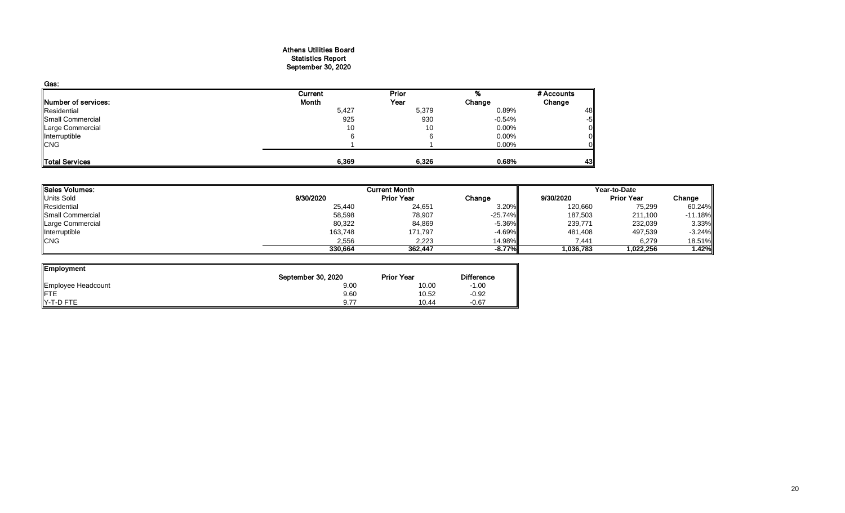#### Athens Utilities Board Statistics Report September 30, 2020

| Gas:                |         |              |          |            |
|---------------------|---------|--------------|----------|------------|
|                     | Current | <b>Prior</b> |          | # Accounts |
| Number of services: | Month   | Year         | Change   | Change     |
| Residential         | 5,427   | 5,379        | 0.89%    | 48         |
| Small Commercial    | 925     | 930          | $-0.54%$ | -5         |
| Large Commercial    | 10      | 10           | $0.00\%$ | 0          |
| Interruptible       | 6       |              | 0.00%    |            |
| <b>CNG</b>          |         |              | 0.00%    |            |
|                     |         |              |          |            |
| Total Services      | 6,369   | 6,326        | 0.68%    | 43         |

| <b>Sales Volumes:</b> |           | <b>Current Month</b> | Year-to-Date |           |                   |           |
|-----------------------|-----------|----------------------|--------------|-----------|-------------------|-----------|
| <b>Units Sold</b>     | 9/30/2020 | <b>Prior Year</b>    | Change       | 9/30/2020 | <b>Prior Year</b> | Change    |
| Residential           | 25,440    | 24,651               | 3.20%        | 120,660   | 75,299            | 60.24%    |
| Small Commercial      | 58,598    | 78,907               | $-25.74%$    | 187,503   | 211,100           | $-11.18%$ |
| Large Commercial      | 80,322    | 84,869               | $-5.36\%$    | 239,771   | 232,039           | 3.33%     |
| Interruptible         | 163,748   | 171,797              | $-4.69\%$    | 481,408   | 497,539           | $-3.24%$  |
| <b>CNG</b>            | 2,556     | 2,223                | 14.98%       | 7,441     | 6,279             | 18.51%    |
|                       | 330,664   | 362,447              | $-8.77%$     | 1,036,783 | 1,022,256         | 1.42%     |

┛

| Employment         |                    |                   |                   |
|--------------------|--------------------|-------------------|-------------------|
|                    | September 30, 2020 | <b>Prior Year</b> | <b>Difference</b> |
| Employee Headcount | 9.00               | 10.00             | $-1.00$           |
| <b>IFTE</b>        | 9.60               | 10.52             | $-0.92$           |
| Y-T-D FTE          | 9.77               | 10.44             | $-0.67$           |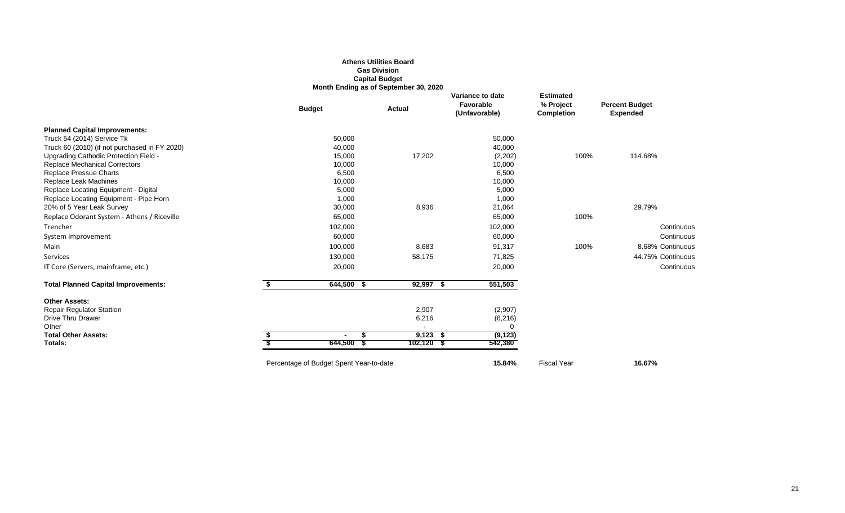## **Athens Utilities Board Gas Division Capital Budget Month Ending as of September 30, 2020**

|                                               | <b>Budget</b>                           | <b>Actual</b> | Variance to date<br>Favorable<br>(Unfavorable) | <b>Estimated</b><br>% Project<br><b>Completion</b> | <b>Percent Budget</b><br><b>Expended</b> |
|-----------------------------------------------|-----------------------------------------|---------------|------------------------------------------------|----------------------------------------------------|------------------------------------------|
| <b>Planned Capital Improvements:</b>          |                                         |               |                                                |                                                    |                                          |
| Truck 54 (2014) Service Tk                    | 50,000                                  |               | 50,000                                         |                                                    |                                          |
| Truck 60 (2010) (if not purchased in FY 2020) | 40,000                                  |               | 40,000                                         |                                                    |                                          |
| Upgrading Cathodic Protection Field -         | 15,000                                  | 17,202        | (2, 202)                                       | 100%                                               | 114.68%                                  |
| <b>Replace Mechanical Correctors</b>          | 10,000                                  |               | 10,000                                         |                                                    |                                          |
| Replace Pressue Charts                        | 6,500                                   |               | 6,500                                          |                                                    |                                          |
| Replace Leak Machines                         | 10,000                                  |               | 10,000                                         |                                                    |                                          |
| Replace Locating Equipment - Digital          | 5,000                                   |               | 5,000                                          |                                                    |                                          |
| Replace Locating Equipment - Pipe Horn        | 1,000                                   |               | 1,000                                          |                                                    |                                          |
| 20% of 5 Year Leak Survey                     | 30,000                                  | 8,936         | 21,064                                         |                                                    | 29.79%                                   |
| Replace Odorant System - Athens / Riceville   | 65,000                                  |               | 65,000                                         | 100%                                               |                                          |
| Trencher                                      | 102,000                                 |               | 102,000                                        |                                                    | Continuous                               |
| System Improvement                            | 60,000                                  |               | 60,000                                         |                                                    | Continuous                               |
| Main                                          | 100,000                                 | 8,683         | 91,317                                         | 100%                                               | 8.68% Continuous                         |
| Services                                      | 130,000                                 | 58,175        | 71,825                                         |                                                    | 44.75% Continuous                        |
| IT Core (Servers, mainframe, etc.)            | 20,000                                  |               | 20,000                                         |                                                    | Continuous                               |
| <b>Total Planned Capital Improvements:</b>    | \$<br>$644,500$ \$                      | $92,997$ \$   | 551,503                                        |                                                    |                                          |
| <b>Other Assets:</b>                          |                                         |               |                                                |                                                    |                                          |
| <b>Repair Regulator Stattion</b>              |                                         | 2,907         | (2,907)                                        |                                                    |                                          |
| <b>Drive Thru Drawer</b>                      |                                         | 6,216         | (6, 216)                                       |                                                    |                                          |
| Other                                         |                                         |               | $\Omega$                                       |                                                    |                                          |
| <b>Total Other Assets:</b>                    | S                                       | $9,123$ \$    | (9, 123)                                       |                                                    |                                          |
| Totals:                                       | 644,500                                 | $102,120$ \$  | 542,380                                        |                                                    |                                          |
|                                               | Percentage of Budget Spent Year-to-date |               | 15.84%                                         | <b>Fiscal Year</b>                                 | 16.67%                                   |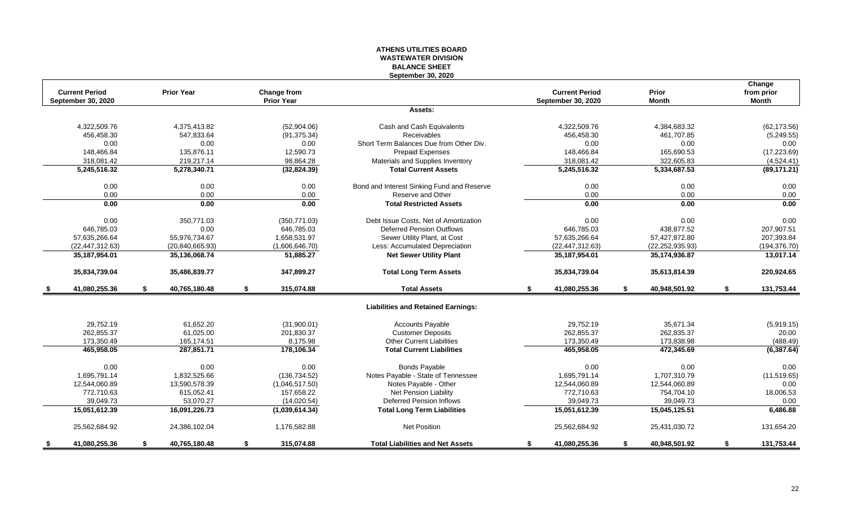## **ATHENS UTILITIES BOARD WASTEWATER DIVISION BALANCE SHEET September 30, 2020**

| <b>Current Period</b><br>September 30, 2020 |    | <b>Prior Year</b> | Change from<br><b>Prior Year</b> |                                            | <b>Current Period</b><br><b>September 30, 2020</b> | Prior<br><b>Month</b> | Change<br>from prior<br><b>Month</b> |
|---------------------------------------------|----|-------------------|----------------------------------|--------------------------------------------|----------------------------------------------------|-----------------------|--------------------------------------|
|                                             |    |                   |                                  | Assets:                                    |                                                    |                       |                                      |
| 4,322,509.76                                |    | 4.375.413.82      | (52,904.06)                      | Cash and Cash Equivalents                  | 4.322.509.76                                       | 4,384,683.32          | (62, 173.56)                         |
| 456,458.30                                  |    | 547,833.64        | (91, 375.34)                     | Receivables                                | 456,458.30                                         | 461,707.85            | (5,249.55)                           |
| 0.00                                        |    | 0.00              | 0.00                             | Short Term Balances Due from Other Div.    | 0.00                                               | 0.00                  | 0.00                                 |
| 148,466.84                                  |    | 135,876.11        | 12,590.73                        | <b>Prepaid Expenses</b>                    | 148,466.84                                         | 165,690.53            | (17, 223.69)                         |
| 318,081.42                                  |    | 219,217.14        | 98,864.28                        | Materials and Supplies Inventory           | 318,081.42                                         | 322,605.83            | (4,524.41)                           |
| 5,245,516.32                                |    | 5,278,340.71      | (32,824.39)                      | <b>Total Current Assets</b>                | 5,245,516.32                                       | 5,334,687.53          | (89, 171.21)                         |
| 0.00                                        |    | 0.00              | 0.00                             | Bond and Interest Sinking Fund and Reserve | 0.00                                               | 0.00                  | 0.00                                 |
| 0.00                                        |    | 0.00              | 0.00                             | Reserve and Other                          | 0.00                                               | 0.00                  | 0.00                                 |
| 0.00                                        |    | 0.00              | 0.00                             | <b>Total Restricted Assets</b>             | 0.00                                               | 0.00                  | 0.00                                 |
| 0.00                                        |    | 350,771.03        | (350, 771.03)                    | Debt Issue Costs, Net of Amortization      | 0.00                                               | 0.00                  | 0.00                                 |
| 646,785.03                                  |    | 0.00              | 646,785.03                       | <b>Deferred Pension Outflows</b>           | 646,785.03                                         | 438,877.52            | 207,907.51                           |
| 57,635,266.64                               |    | 55,976,734.67     | 1,658,531.97                     | Sewer Utility Plant, at Cost               | 57,635,266.64                                      | 57,427,872.80         | 207,393.84                           |
| (22, 447, 312.63)                           |    | (20, 840, 665.93) | (1,606,646.70)                   | Less: Accumulated Depreciation             | (22, 447, 312.63)                                  | (22, 252, 935.93)     | (194, 376.70)                        |
| 35,187,954.01                               |    | 35,136,068.74     | 51,885.27                        | <b>Net Sewer Utility Plant</b>             | 35, 187, 954.01                                    | 35,174,936.87         | 13,017.14                            |
| 35,834,739.04                               |    | 35,486,839.77     | 347,899.27                       | <b>Total Long Term Assets</b>              | 35,834,739.04                                      | 35,613,814.39         | 220,924.65                           |
| 41,080,255.36<br>- \$                       | \$ | 40,765,180.48     | \$<br>315,074.88                 | <b>Total Assets</b>                        | \$<br>41,080,255.36                                | \$<br>40,948,501.92   | \$<br>131,753.44                     |
|                                             |    |                   |                                  | <b>Liabilities and Retained Earnings:</b>  |                                                    |                       |                                      |
| 29.752.19                                   |    | 61.652.20         | (31,900.01)                      | <b>Accounts Payable</b>                    | 29.752.19                                          | 35.671.34             | (5,919.15)                           |
| 262,855.37                                  |    | 61,025.00         | 201,830.37                       | <b>Customer Deposits</b>                   | 262,855.37                                         | 262,835.37            | 20.00                                |
| 173,350.49                                  |    | 165,174.51        | 8,175.98                         | Other Current Liabilities                  | 173,350.49                                         | 173,838.98            | (488.49)                             |
| 465,958.05                                  |    | 287,851.71        | 178,106.34                       | <b>Total Current Liabilities</b>           | 465,958.05                                         | 472,345.69            | (6, 387.64)                          |
| 0.00                                        |    | 0.00              | 0.00                             | <b>Bonds Payable</b>                       | 0.00                                               | 0.00                  | 0.00                                 |
| 1,695,791.14                                |    | 1,832,525.66      | (136, 734.52)                    | Notes Payable - State of Tennessee         | 1,695,791.14                                       | 1,707,310.79          | (11,519.65)                          |
| 12,544,060.89                               |    | 13,590,578.39     | (1,046,517.50)                   | Notes Payable - Other                      | 12,544,060.89                                      | 12,544,060.89         | 0.00                                 |
| 772,710.63                                  |    | 615,052.41        | 157,658.22                       | Net Pension Liability                      | 772,710.63                                         | 754,704.10            | 18,006.53                            |
| 39.049.73                                   |    | 53.070.27         | (14,020.54)                      | <b>Deferred Pension Inflows</b>            | 39.049.73                                          | 39.049.73             | 0.00                                 |
| 15,051,612.39                               |    | 16,091,226.73     | (1,039,614.34)                   | <b>Total Long Term Liabilities</b>         | 15,051,612.39                                      | 15,045,125.51         | 6,486.88                             |
| 25,562,684.92                               |    | 24,386,102.04     | 1,176,582.88                     | Net Position                               | 25,562,684.92                                      | 25,431,030.72         | 131,654.20                           |
| 41,080,255.36<br>s.                         | S. | 40,765,180.48     | \$<br>315,074.88                 | <b>Total Liabilities and Net Assets</b>    | \$<br>41,080,255.36                                | \$<br>40,948,501.92   | \$<br>131,753.44                     |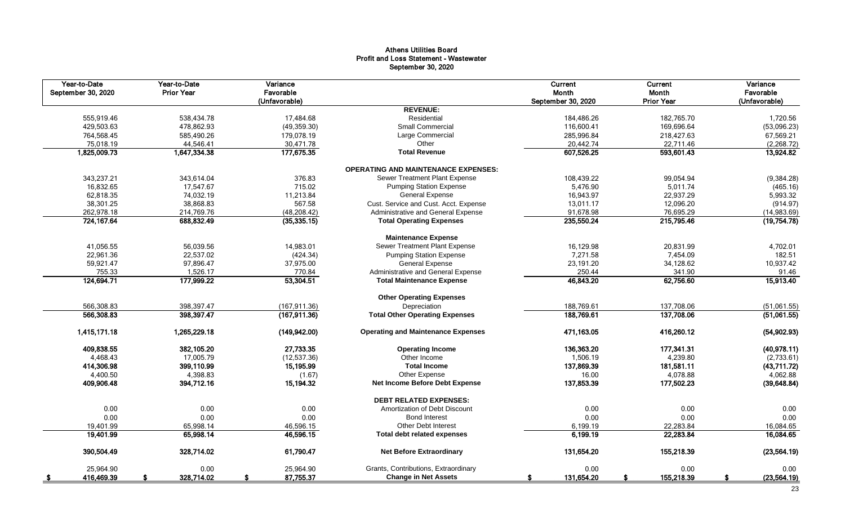## Athens Utilities Board Profit and Loss Statement - Wastewater September 30, 2020

| Year-to-Date<br>September 30, 2020 | Year-to-Date<br><b>Prior Year</b> | Variance<br>Favorable<br>(Unfavorable) |                                            | Current<br>Month<br>September 30, 2020 | <b>Current</b><br>Month<br><b>Prior Year</b> | Variance<br>Favorable<br>(Unfavorable) |
|------------------------------------|-----------------------------------|----------------------------------------|--------------------------------------------|----------------------------------------|----------------------------------------------|----------------------------------------|
|                                    |                                   |                                        | <b>REVENUE:</b>                            |                                        |                                              |                                        |
| 555,919.46                         | 538,434.78                        | 17,484.68                              | Residential                                | 184,486.26                             | 182,765.70                                   | 1,720.56                               |
| 429,503.63                         | 478,862.93                        | (49,359.30)                            | Small Commercial                           | 116,600.41                             | 169,696.64                                   | (53,096.23)                            |
| 764,568.45                         | 585,490.26                        | 179,078.19                             | Large Commercial                           | 285,996.84                             | 218,427.63                                   | 67,569.21                              |
| 75,018.19                          | 44,546.41                         | 30,471.78                              | Other                                      | 20,442.74                              | 22,711.46                                    | (2, 268.72)                            |
| 1,825,009.73                       | 1,647,334.38                      | 177,675.35                             | <b>Total Revenue</b>                       | 607,526.25                             | 593,601.43                                   | 13,924.82                              |
|                                    |                                   |                                        | <b>OPERATING AND MAINTENANCE EXPENSES:</b> |                                        |                                              |                                        |
| 343,237.21                         | 343,614.04                        | 376.83                                 | Sewer Treatment Plant Expense              | 108,439.22                             | 99,054.94                                    | (9, 384.28)                            |
| 16,832.65                          | 17,547.67                         | 715.02                                 | <b>Pumping Station Expense</b>             | 5,476.90                               | 5,011.74                                     | (465.16)                               |
| 62,818.35                          | 74,032.19                         | 11,213.84                              | <b>General Expense</b>                     | 16,943.97                              | 22,937.29                                    | 5,993.32                               |
| 38,301.25                          | 38,868.83                         | 567.58                                 | Cust. Service and Cust. Acct. Expense      | 13,011.17                              | 12,096.20                                    | (914.97)                               |
| 262,978.18                         | 214,769.76                        | (48, 208.42)                           | Administrative and General Expense         | 91,678.98                              | 76,695.29                                    | (14,983.69)                            |
| 724,167.64                         | 688,832.49                        | (35, 335.15)                           | <b>Total Operating Expenses</b>            | 235,550.24                             | 215,795.46                                   | (19, 754.78)                           |
|                                    |                                   |                                        | <b>Maintenance Expense</b>                 |                                        |                                              |                                        |
| 41,056.55                          | 56,039.56                         | 14,983.01                              | Sewer Treatment Plant Expense              | 16,129.98                              | 20,831.99                                    | 4,702.01                               |
| 22,961.36                          | 22,537.02                         | (424.34)                               | <b>Pumping Station Expense</b>             | 7,271.58                               | 7,454.09                                     | 182.51                                 |
| 59,921.47                          | 97,896.47                         | 37,975.00                              | <b>General Expense</b>                     | 23,191.20                              | 34,128.62                                    | 10,937.42                              |
| 755.33                             | 1,526.17                          | 770.84                                 | Administrative and General Expense         | 250.44                                 | 341.90                                       | 91.46                                  |
| 124,694.71                         | 177,999.22                        | 53,304.51                              | <b>Total Maintenance Expense</b>           | 46,843.20                              | 62,756.60                                    | 15,913.40                              |
|                                    |                                   |                                        | <b>Other Operating Expenses</b>            |                                        |                                              |                                        |
| 566,308.83                         | 398,397.47                        | (167, 911.36)                          | Depreciation                               | 188,769.61                             | 137.708.06                                   | (51,061.55)                            |
| 566,308.83                         | 398,397.47                        | (167, 911.36)                          | <b>Total Other Operating Expenses</b>      | 188,769.61                             | 137,708.06                                   | (51,061.55)                            |
| 1,415,171.18                       | 1,265,229.18                      | (149, 942.00)                          | <b>Operating and Maintenance Expenses</b>  | 471.163.05                             | 416,260.12                                   | (54, 902.93)                           |
| 409,838.55                         | 382,105.20                        | 27,733.35                              | <b>Operating Income</b>                    | 136,363.20                             | 177,341.31                                   | (40, 978.11)                           |
| 4.468.43                           | 17.005.79                         | (12, 537.36)                           | Other Income                               | 1,506.19                               | 4,239.80                                     | (2,733.61)                             |
| 414,306.98                         | 399,110.99                        | 15,195.99                              | <b>Total Income</b>                        | 137,869.39                             | 181,581.11                                   | (43,711.72)                            |
| 4,400.50                           | 4,398.83                          | (1.67)                                 | Other Expense                              | 16.00                                  | 4.078.88                                     | 4,062.88                               |
| 409,906.48                         | 394.712.16                        | 15,194.32                              | Net Income Before Debt Expense             | 137,853.39                             | 177,502.23                                   | (39, 648.84)                           |
|                                    |                                   |                                        | <b>DEBT RELATED EXPENSES:</b>              |                                        |                                              |                                        |
| 0.00                               | 0.00                              | 0.00                                   | Amortization of Debt Discount              | 0.00                                   | 0.00                                         | 0.00                                   |
| 0.00                               | 0.00                              | 0.00                                   | <b>Bond Interest</b>                       | 0.00                                   | 0.00                                         | 0.00                                   |
| 19,401.99                          | 65,998.14                         | 46,596.15                              | <b>Other Debt Interest</b>                 | 6,199.19                               | 22,283.84                                    | 16,084.65                              |
| 19,401.99                          | 65,998.14                         | 46,596.15                              | <b>Total debt related expenses</b>         | 6,199.19                               | 22,283.84                                    | 16,084.65                              |
| 390,504.49                         | 328,714.02                        | 61,790.47                              | <b>Net Before Extraordinary</b>            | 131,654.20                             | 155,218.39                                   | (23, 564.19)                           |
| 25,964.90                          | 0.00                              | 25,964.90                              | Grants, Contributions, Extraordinary       | 0.00                                   | 0.00                                         | 0.00                                   |
| 416,469.39<br>- \$                 | 328,714.02                        | 87,755.37                              | <b>Change in Net Assets</b>                | 131,654.20<br>S                        | 155,218.39                                   | (23, 564.19)                           |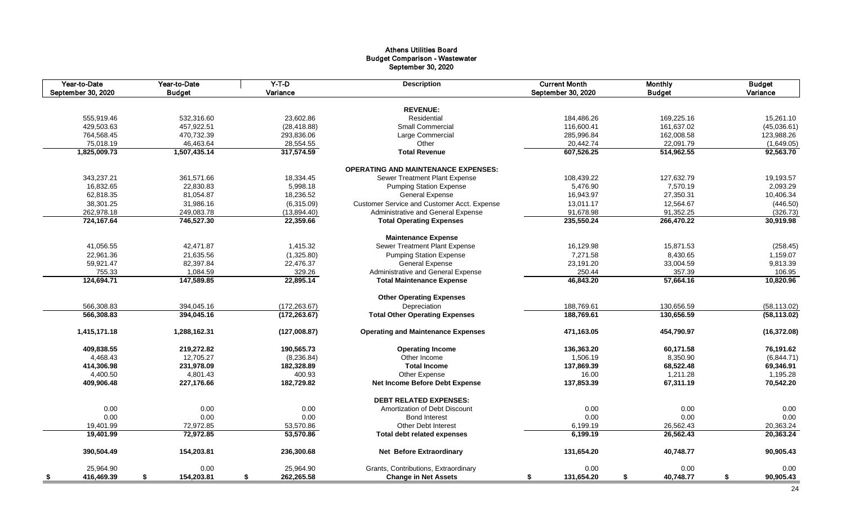## Athens Utilities Board Budget Comparison - Wastewater September 30, 2020

| Year-to-Date<br>September 30, 2020 | Year-to-Date<br><b>Budget</b> | $Y-T-D$<br>Variance | <b>Description</b>                          | <b>Current Month</b><br>September 30, 2020 | <b>Monthly</b><br><b>Budget</b> | <b>Budget</b><br>Variance |
|------------------------------------|-------------------------------|---------------------|---------------------------------------------|--------------------------------------------|---------------------------------|---------------------------|
|                                    |                               |                     |                                             |                                            |                                 |                           |
|                                    |                               |                     | <b>REVENUE:</b>                             |                                            |                                 |                           |
| 555,919.46                         | 532.316.60                    | 23,602.86           | Residential                                 | 184,486.26                                 | 169,225.16                      | 15,261.10                 |
| 429,503.63                         | 457,922.51                    | (28, 418.88)        | Small Commercial                            | 116,600.41                                 | 161,637.02                      | (45,036.61)               |
| 764,568.45                         | 470,732.39                    | 293,836.06          | Large Commercial                            | 285,996.84                                 | 162,008.58                      | 123,988.26                |
| 75,018.19                          | 46,463.64                     | 28,554.55           | Other                                       | 20,442.74                                  | 22,091.79                       | (1,649.05)                |
| 1,825,009.73                       | 1,507,435.14                  | 317,574.59          | <b>Total Revenue</b>                        | 607,526.25                                 | 514,962.55                      | 92,563.70                 |
|                                    |                               |                     | <b>OPERATING AND MAINTENANCE EXPENSES:</b>  |                                            |                                 |                           |
| 343,237.21                         | 361,571.66                    | 18,334.45           | Sewer Treatment Plant Expense               | 108,439.22                                 | 127,632.79                      | 19,193.57                 |
| 16,832.65                          | 22,830.83                     | 5,998.18            | <b>Pumping Station Expense</b>              | 5,476.90                                   | 7,570.19                        | 2,093.29                  |
| 62,818.35                          | 81,054.87                     | 18,236.52           | <b>General Expense</b>                      | 16,943.97                                  | 27,350.31                       | 10,406.34                 |
| 38,301.25                          | 31,986.16                     | (6,315.09)          | Customer Service and Customer Acct. Expense | 13,011.17                                  | 12,564.67                       | (446.50)                  |
| 262,978.18                         | 249,083.78                    | (13,894.40)         | Administrative and General Expense          | 91,678.98                                  | 91,352.25                       | (326.73)                  |
| 724,167.64                         | 746,527.30                    | 22,359.66           | <b>Total Operating Expenses</b>             | 235,550.24                                 | 266,470.22                      | 30,919.98                 |
|                                    |                               |                     | <b>Maintenance Expense</b>                  |                                            |                                 |                           |
| 41,056.55                          | 42,471.87                     | 1,415.32            | Sewer Treatment Plant Expense               | 16,129.98                                  | 15,871.53                       | (258.45)                  |
| 22,961.36                          | 21,635.56                     | (1,325.80)          | <b>Pumping Station Expense</b>              | 7,271.58                                   | 8,430.65                        | 1,159.07                  |
| 59,921.47                          | 82,397.84                     | 22,476.37           | <b>General Expense</b>                      | 23,191.20                                  | 33,004.59                       | 9,813.39                  |
| 755.33                             | 1,084.59                      | 329.26              | Administrative and General Expense          | 250.44                                     | 357.39                          | 106.95                    |
| 124,694.71                         | 147,589.85                    | 22,895.14           | <b>Total Maintenance Expense</b>            | 46,843.20                                  | 57,664.16                       | 10,820.96                 |
|                                    |                               |                     |                                             |                                            |                                 |                           |
|                                    |                               |                     | <b>Other Operating Expenses</b>             |                                            |                                 |                           |
| 566,308.83                         | 394,045.16                    | (172, 263.67)       | Depreciation                                | 188,769.61                                 | 130,656.59                      | (58, 113.02)              |
| 566,308.83                         | 394,045.16                    | (172, 263.67)       | <b>Total Other Operating Expenses</b>       | 188,769.61                                 | 130,656.59                      | (58, 113.02)              |
| 1,415,171.18                       | 1,288,162.31                  | (127,008.87)        | <b>Operating and Maintenance Expenses</b>   | 471,163.05                                 | 454,790.97                      | (16, 372.08)              |
| 409,838.55                         | 219,272.82                    | 190,565.73          | <b>Operating Income</b>                     | 136,363.20                                 | 60,171.58                       | 76,191.62                 |
| 4.468.43                           | 12.705.27                     | (8, 236.84)         | Other Income                                | 1.506.19                                   | 8,350.90                        | (6,844.71)                |
| 414,306.98                         | 231,978.09                    | 182,328.89          | <b>Total Income</b>                         | 137,869.39                                 | 68,522.48                       | 69,346.91                 |
| 4,400.50                           | 4,801.43                      | 400.93              | Other Expense                               | 16.00                                      | 1,211.28                        | 1,195.28                  |
| 409,906.48                         | 227.176.66                    | 182,729.82          | <b>Net Income Before Debt Expense</b>       | 137,853.39                                 | 67,311.19                       | 70,542.20                 |
|                                    |                               |                     | <b>DEBT RELATED EXPENSES:</b>               |                                            |                                 |                           |
| 0.00                               | 0.00                          | 0.00                | Amortization of Debt Discount               | 0.00                                       | 0.00                            | 0.00                      |
| 0.00                               | 0.00                          | 0.00                | <b>Bond Interest</b>                        | 0.00                                       | 0.00                            | 0.00                      |
| 19,401.99                          | 72,972.85                     | 53,570.86           | <b>Other Debt Interest</b>                  | 6,199.19                                   | 26,562.43                       | 20,363.24                 |
| 19,401.99                          | 72,972.85                     | 53,570.86           | <b>Total debt related expenses</b>          | 6,199.19                                   | 26,562.43                       | 20,363.24                 |
|                                    |                               |                     |                                             |                                            |                                 |                           |
| 390,504.49                         | 154,203.81                    | 236,300.68          | <b>Net Before Extraordinary</b>             | 131,654.20                                 | 40,748.77                       | 90,905.43                 |
| 25,964.90                          | 0.00                          | 25,964.90           | Grants, Contributions, Extraordinary        | 0.00                                       | 0.00                            | 0.00                      |
| 416,469.39<br>- \$                 | 154,203.81<br>\$              | 262,265.58<br>\$    | <b>Change in Net Assets</b>                 | 131,654.20<br>\$                           | \$<br>40,748.77                 | \$<br>90,905.43           |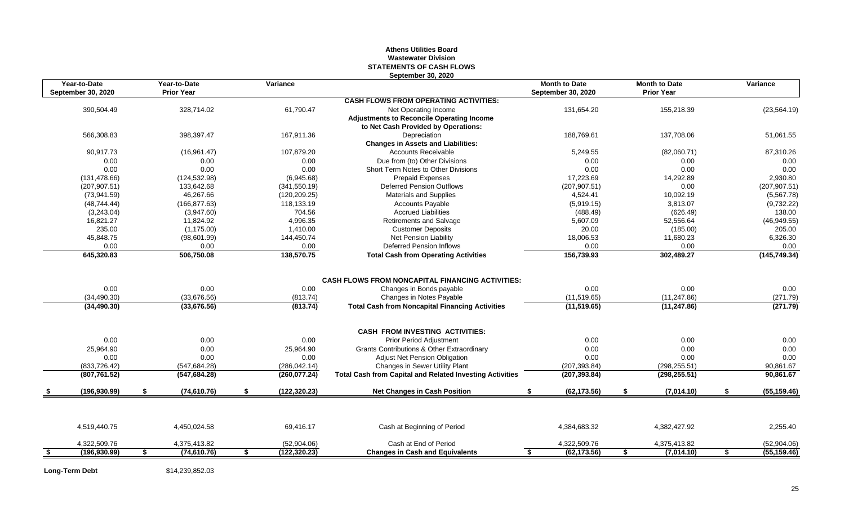## **Athens Utilities Board Wastewater Division STATEMENTS OF CASH FLOWS September 30, 2020**

|      | Year-to-Date<br><b>September 30, 2020</b> | Year-to-Date<br><b>Prior Year</b> | Variance            |                                                                 | <b>Month to Date</b><br><b>September 30, 2020</b> |               |    | <b>Month to Date</b><br><b>Prior Year</b> | Variance           |
|------|-------------------------------------------|-----------------------------------|---------------------|-----------------------------------------------------------------|---------------------------------------------------|---------------|----|-------------------------------------------|--------------------|
|      |                                           |                                   |                     | <b>CASH FLOWS FROM OPERATING ACTIVITIES:</b>                    |                                                   |               |    |                                           |                    |
|      | 390,504.49                                | 328,714.02                        | 61,790.47           | Net Operating Income                                            |                                                   | 131,654.20    |    | 155,218.39                                | (23, 564.19)       |
|      |                                           |                                   |                     | <b>Adjustments to Reconcile Operating Income</b>                |                                                   |               |    |                                           |                    |
|      |                                           |                                   |                     | to Net Cash Provided by Operations:                             |                                                   |               |    |                                           |                    |
|      | 566,308.83                                | 398,397.47                        | 167,911.36          | Depreciation                                                    |                                                   | 188,769.61    |    | 137,708.06                                | 51,061.55          |
|      |                                           |                                   |                     | <b>Changes in Assets and Liabilities:</b>                       |                                                   |               |    |                                           |                    |
|      | 90,917.73                                 | (16,961.47)                       | 107,879.20          | <b>Accounts Receivable</b>                                      |                                                   | 5,249.55      |    | (82,060.71)                               | 87,310.26          |
|      | 0.00                                      | 0.00                              | 0.00                | Due from (to) Other Divisions                                   |                                                   | 0.00          |    | 0.00                                      | 0.00               |
|      | 0.00                                      | 0.00                              | 0.00                | Short Term Notes to Other Divisions                             |                                                   | 0.00          |    | 0.00                                      | 0.00               |
|      | (131, 478.66)                             | (124, 532.98)                     | (6,945.68)          | <b>Prepaid Expenses</b>                                         |                                                   | 17,223.69     |    | 14,292.89                                 | 2,930.80           |
|      | (207, 907.51)                             | 133,642.68                        | (341, 550.19)       | <b>Deferred Pension Outflows</b>                                |                                                   | (207, 907.51) |    | 0.00                                      | (207, 907.51)      |
|      | (73,941.59)                               | 46,267.66                         | (120, 209.25)       | <b>Materials and Supplies</b>                                   |                                                   | 4,524.41      |    | 10,092.19                                 | (5,567.78)         |
|      | (48, 744.44)                              | (166, 877.63)                     | 118,133.19          | <b>Accounts Payable</b>                                         |                                                   | (5,919.15)    |    | 3,813.07                                  | (9,732.22)         |
|      | (3,243.04)                                | (3,947.60)                        | 704.56              | <b>Accrued Liabilities</b>                                      |                                                   | (488.49)      |    | (626.49)                                  | 138.00             |
|      | 16,821.27                                 | 11,824.92                         | 4.996.35            | Retirements and Salvage                                         |                                                   | 5,607.09      |    | 52,556.64                                 | (46,949.55)        |
|      | 235.00                                    | (1, 175.00)                       | 1,410.00            | <b>Customer Deposits</b>                                        |                                                   | 20.00         |    | (185.00)                                  | 205.00             |
|      | 45,848.75                                 | (98,601.99)                       | 144,450.74          | Net Pension Liability                                           |                                                   | 18,006.53     |    | 11,680.23                                 | 6,326.30           |
|      | 0.00                                      | 0.00                              | 0.00                | <b>Deferred Pension Inflows</b>                                 |                                                   | 0.00          |    | 0.00                                      | 0.00               |
|      | 645,320.83                                | 506,750.08                        | 138,570.75          | <b>Total Cash from Operating Activities</b>                     |                                                   | 156,739.93    |    | 302,489.27                                | (145, 749.34)      |
|      |                                           |                                   |                     |                                                                 |                                                   |               |    |                                           |                    |
|      |                                           |                                   |                     | <b>CASH FLOWS FROM NONCAPITAL FINANCING ACTIVITIES:</b>         |                                                   |               |    |                                           |                    |
|      | 0.00                                      | 0.00                              | 0.00                | Changes in Bonds payable                                        |                                                   | 0.00          |    | 0.00                                      | 0.00               |
|      | (34, 490.30)                              | (33,676.56)                       | (813.74)            | Changes in Notes Payable                                        |                                                   | (11, 519.65)  |    | (11, 247.86)                              | (271.79)           |
|      | (34, 490.30)                              | (33,676.56)                       | (813.74)            | <b>Total Cash from Noncapital Financing Activities</b>          |                                                   | (11, 519.65)  |    | (11, 247.86)                              | (271.79)           |
|      |                                           |                                   |                     | <b>CASH FROM INVESTING ACTIVITIES:</b>                          |                                                   |               |    |                                           |                    |
|      | 0.00                                      | 0.00                              | 0.00                | <b>Prior Period Adjustment</b>                                  |                                                   | 0.00          |    | 0.00                                      | 0.00               |
|      | 25,964.90                                 | 0.00                              | 25,964.90           | <b>Grants Contributions &amp; Other Extraordinary</b>           |                                                   | 0.00          |    | 0.00                                      | 0.00               |
|      | 0.00                                      | 0.00                              | 0.00                | Adjust Net Pension Obligation                                   |                                                   | 0.00          |    | 0.00                                      | 0.00               |
|      | (833, 726.42)                             | (547, 684.28)                     | (286, 042.14)       | Changes in Sewer Utility Plant                                  |                                                   | (207, 393.84) |    | (298, 255.51)                             | 90,861.67          |
|      | (807, 761.52)                             | (547, 684.28)                     | (260, 077.24)       | <b>Total Cash from Capital and Related Investing Activities</b> |                                                   | (207, 393.84) |    | (298, 255.51)                             | 90,861.67          |
|      | (196, 930.99)                             | (74,610.76)                       | (122, 320.23)       | <b>Net Changes in Cash Position</b>                             |                                                   | (62, 173.56)  |    | (7,014.10)                                | (55, 159.46)       |
|      |                                           |                                   |                     |                                                                 |                                                   |               |    |                                           |                    |
|      | 4,519,440.75                              | 4,450,024.58                      | 69,416.17           | Cash at Beginning of Period                                     |                                                   | 4,384,683.32  |    | 4,382,427.92                              | 2,255.40           |
|      | 4,322,509.76                              | 4,375,413.82                      | (52,904.06)         | Cash at End of Period                                           |                                                   | 4,322,509.76  |    | 4,375,413.82                              | (52,904.06)        |
| - \$ | (196, 930.99)                             | \$<br>(74,610.76)                 | \$<br>(122, 320.23) | <b>Changes in Cash and Equivalents</b>                          | \$                                                | (62, 173.56)  | S. | (7,014.10)                                | \$<br>(55, 159.46) |

**Long-Term Debt** \$14,239,852.03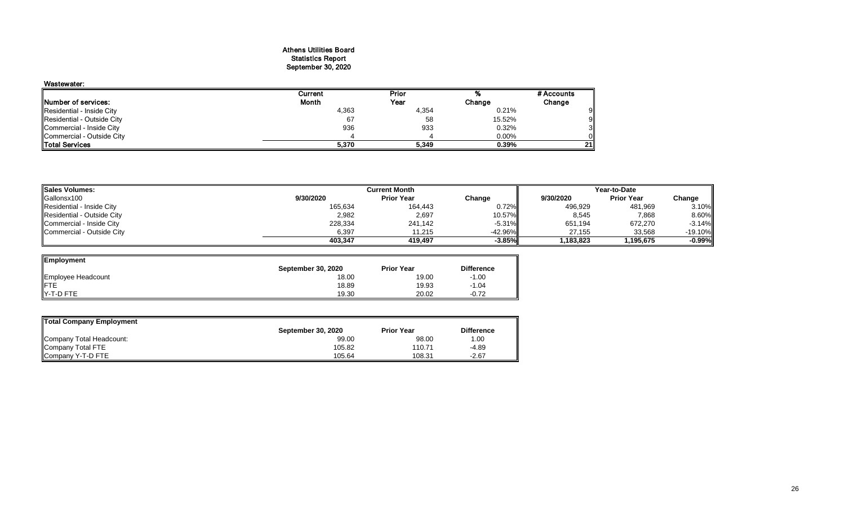#### Athens Utilities Board Statistics Report September 30, 2020

| Wastewater:                |         |       |        |            |
|----------------------------|---------|-------|--------|------------|
|                            | Current | Prior |        | # Accounts |
| Number of services:        | Month   | Year  | Change | Change     |
| Residential - Inside City  | 4,363   | 4,354 | 0.21%  |            |
| Residential - Outside City | 67      | 58    | 15.52% |            |
| Commercial - Inside City   | 936     | 933   | 0.32%  |            |
| Commercial - Outside City  |         |       | 0.00%  |            |
| <b>Total Services</b>      | 5,370   | 5,349 | 0.39%  | 21         |

| <b>Sales Volumes:</b>      |           | <b>Current Month</b> |           |           | Year-to-Date      |            |
|----------------------------|-----------|----------------------|-----------|-----------|-------------------|------------|
| Gallonsx100                | 9/30/2020 | <b>Prior Year</b>    | Change    | 9/30/2020 | <b>Prior Year</b> | Change     |
| Residential - Inside City  | 165,634   | 164,443              | 0.72%     | 496,929   | 481,969           | 3.10%      |
| Residential - Outside City | 2,982     | 2,697                | 10.57%    | 8,545     | 7,868             | 8.60%      |
| Commercial - Inside City   | 228,334   | 241.142              | $-5.31%$  | 651,194   | 672,270           | $-3.14%$   |
| Commercial - Outside City  | 6,397     | 1.215                | $-42.96%$ | 27.155    | 33,568            | $-19.10\%$ |
|                            | 403.347   | 419.497              | $-3.85%$  | 1.183.823 | 1.195.675         | $-0.99%$   |

| Employment         |                           |                   |                   |
|--------------------|---------------------------|-------------------|-------------------|
|                    | <b>September 30, 2020</b> | <b>Prior Year</b> | <b>Difference</b> |
| Employee Headcount | 18.00                     | 19.00             | $-1.00$           |
|                    | 18.89                     | 19.93             | $-1.04$           |
| Y-T-D FTE          | 19.30                     | 20.02             | $-0.72$           |

| Total Company Employment |                           |                   |                   |
|--------------------------|---------------------------|-------------------|-------------------|
|                          | <b>September 30, 2020</b> | <b>Prior Year</b> | <b>Difference</b> |
| Company Total Headcount: | 99.00                     | 98.00             | 00. ا             |
| Company Total FTE        | 105.82                    | 110.71            | $-4.89$           |
| Company Y-T-D FTE        | 105.64                    | 108.31            | $-2.67$           |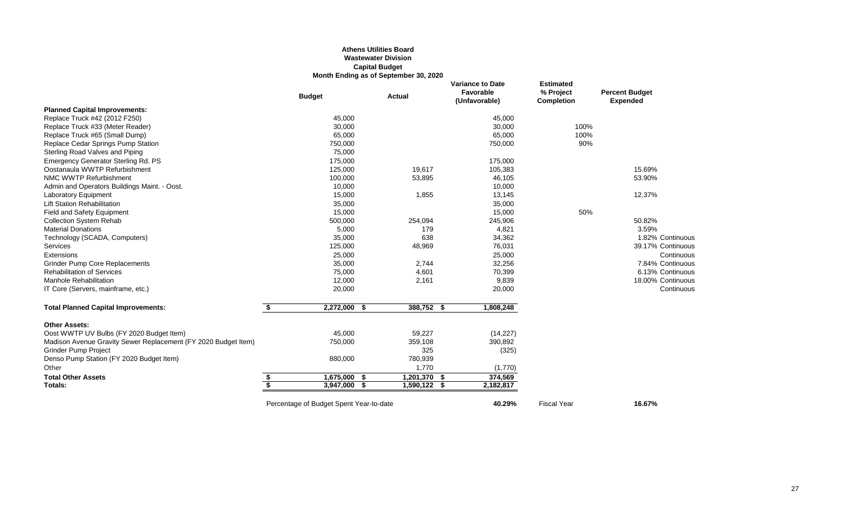## **Athens Utilities Board Wastewater Division Capital Budget Month Ending as of September 30, 2020**

|                                                                |                         | <b>Budget</b>                           | <b>Actual</b> |                | <b>Variance to Date</b><br>Favorable<br>(Unfavorable) |           | <b>Estimated</b><br>% Project<br><b>Completion</b> | <b>Percent Budget</b><br><b>Expended</b> |
|----------------------------------------------------------------|-------------------------|-----------------------------------------|---------------|----------------|-------------------------------------------------------|-----------|----------------------------------------------------|------------------------------------------|
| <b>Planned Capital Improvements:</b>                           |                         |                                         |               |                |                                                       |           |                                                    |                                          |
| Replace Truck #42 (2012 F250)                                  |                         | 45,000                                  |               |                |                                                       | 45,000    |                                                    |                                          |
| Replace Truck #33 (Meter Reader)                               |                         | 30,000                                  |               |                |                                                       | 30,000    | 100%                                               |                                          |
| Replace Truck #65 (Small Dump)                                 |                         | 65,000                                  |               |                |                                                       | 65,000    | 100%                                               |                                          |
| Replace Cedar Springs Pump Station                             |                         | 750,000                                 |               |                |                                                       | 750,000   | 90%                                                |                                          |
| Sterling Road Valves and Piping                                |                         | 75,000                                  |               |                |                                                       |           |                                                    |                                          |
| Emergency Generator Sterling Rd. PS                            |                         | 175,000                                 |               |                |                                                       | 175,000   |                                                    |                                          |
| Oostanaula WWTP Refurbishment                                  |                         | 125,000                                 |               | 19,617         |                                                       | 105,383   |                                                    | 15.69%                                   |
| NMC WWTP Refurbishment                                         |                         | 100,000                                 |               | 53,895         |                                                       | 46,105    |                                                    | 53.90%                                   |
| Admin and Operators Buildings Maint. - Oost.                   |                         | 10,000                                  |               |                |                                                       | 10,000    |                                                    |                                          |
| Laboratory Equipment                                           |                         | 15,000                                  |               | 1,855          |                                                       | 13,145    |                                                    | 12.37%                                   |
| <b>Lift Station Rehabilitation</b>                             |                         | 35,000                                  |               |                |                                                       | 35,000    |                                                    |                                          |
| Field and Safety Equipment                                     |                         | 15,000                                  |               |                |                                                       | 15,000    | 50%                                                |                                          |
| <b>Collection System Rehab</b>                                 |                         | 500,000                                 |               | 254,094        |                                                       | 245,906   |                                                    | 50.82%                                   |
| <b>Material Donations</b>                                      |                         | 5,000                                   |               | 179            |                                                       | 4,821     |                                                    | 3.59%                                    |
| Technology (SCADA, Computers)                                  |                         | 35,000                                  |               | 638            |                                                       | 34,362    |                                                    | 1.82% Continuous                         |
| Services                                                       |                         | 125,000                                 |               | 48,969         |                                                       | 76,031    |                                                    | 39.17% Continuous                        |
| Extensions                                                     |                         | 25,000                                  |               |                |                                                       | 25,000    |                                                    | Continuous                               |
| <b>Grinder Pump Core Replacements</b>                          |                         | 35,000                                  |               | 2,744          |                                                       | 32,256    |                                                    | 7.84% Continuous                         |
| <b>Rehabilitation of Services</b>                              |                         | 75,000                                  |               | 4,601          |                                                       | 70,399    |                                                    | 6.13% Continuous                         |
| <b>Manhole Rehabilitation</b>                                  |                         | 12,000                                  |               | 2,161          |                                                       | 9,839     |                                                    | 18.00% Continuous                        |
| IT Core (Servers, mainframe, etc.)                             |                         | 20,000                                  |               |                |                                                       | 20,000    |                                                    | Continuous                               |
| <b>Total Planned Capital Improvements:</b>                     | \$                      | 2,272,000                               | -\$           | 388,752 \$     |                                                       | 1,808,248 |                                                    |                                          |
| <b>Other Assets:</b>                                           |                         |                                         |               |                |                                                       |           |                                                    |                                          |
| Oost WWTP UV Bulbs (FY 2020 Budget Item)                       |                         | 45,000                                  |               | 59,227         |                                                       | (14, 227) |                                                    |                                          |
| Madison Avenue Gravity Sewer Replacement (FY 2020 Budget Item) |                         | 750,000                                 |               | 359,108        |                                                       | 390,892   |                                                    |                                          |
| <b>Grinder Pump Project</b>                                    |                         |                                         |               | 325            |                                                       | (325)     |                                                    |                                          |
| Denso Pump Station (FY 2020 Budget Item)                       |                         | 880,000                                 |               | 780,939        |                                                       |           |                                                    |                                          |
| Other                                                          |                         |                                         |               | 1,770          |                                                       | (1,770)   |                                                    |                                          |
| <b>Total Other Assets</b>                                      | \$                      | 1,675,000                               | £.            | 1,201,370      | \$                                                    | 374,569   |                                                    |                                          |
| Totals:                                                        | $\overline{\mathbf{s}}$ | 3,947,000                               | S             | $1,590,122$ \$ |                                                       | 2,182,817 |                                                    |                                          |
|                                                                |                         | Percentage of Budget Spent Year-to-date |               |                |                                                       | 40.29%    | <b>Fiscal Year</b>                                 | 16.67%                                   |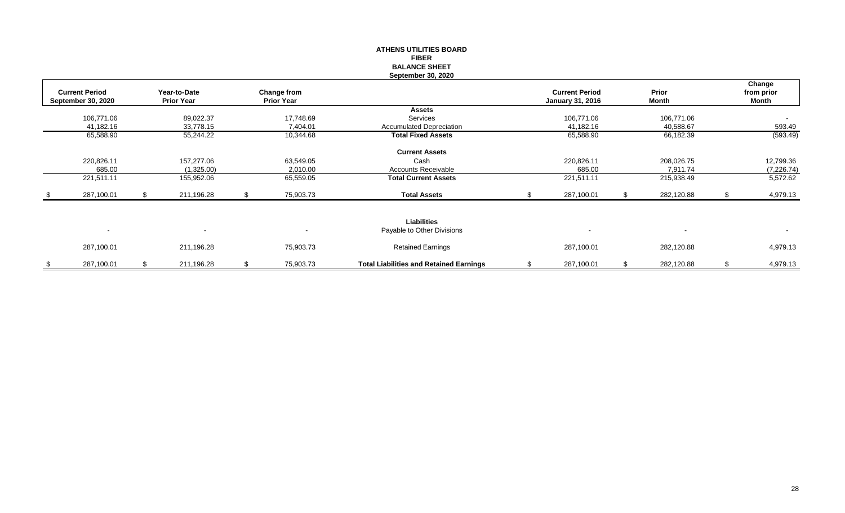#### **ATHENS UTILITIES BOARD FIBER BALANCE SHEET September 30, 2020**

| <b>Current Period</b><br><b>September 30, 2020</b> |   | Year-to-Date<br><b>Prior Year</b> |     | Change from<br><b>Prior Year</b> |                                                | <b>Current Period</b><br><b>January 31, 2016</b> | <b>Prior</b><br>Month | Change<br>from prior<br>Month |
|----------------------------------------------------|---|-----------------------------------|-----|----------------------------------|------------------------------------------------|--------------------------------------------------|-----------------------|-------------------------------|
|                                                    |   |                                   |     |                                  | <b>Assets</b>                                  |                                                  |                       |                               |
| 106,771.06                                         |   | 89,022.37                         |     | 17,748.69                        | Services                                       | 106,771.06                                       | 106,771.06            | $\sim$                        |
| 41,182.16                                          |   | 33,778.15                         |     | 7,404.01                         | <b>Accumulated Depreciation</b>                | 41,182.16                                        | 40,588.67             | 593.49                        |
| 65,588.90                                          |   | 55,244.22                         |     | 10,344.68                        | <b>Total Fixed Assets</b>                      | 65,588.90                                        | 66,182.39             | (593.49)                      |
|                                                    |   |                                   |     |                                  | <b>Current Assets</b>                          |                                                  |                       |                               |
| 220,826.11                                         |   | 157,277.06                        |     | 63,549.05                        | Cash                                           | 220,826.11                                       | 208,026.75            | 12,799.36                     |
| 685.00                                             |   | (1,325.00)                        |     | 2,010.00                         | <b>Accounts Receivable</b>                     | 685.00                                           | 7,911.74              | (7,226.74)                    |
| 221,511.11                                         |   | 155,952.06                        |     | 65,559.05                        | <b>Total Current Assets</b>                    | 221,511.11                                       | 215,938.49            | 5,572.62                      |
| 287,100.01                                         |   | 211,196.28                        |     | 75,903.73                        | <b>Total Assets</b>                            | 287,100.01                                       | 282,120.88            | 4,979.13                      |
| $\sim$                                             |   | $\overline{\phantom{a}}$          |     | $\overline{\phantom{a}}$         | Liabilities<br>Payable to Other Divisions      | $\blacksquare$                                   |                       | $\sim$                        |
| 287,100.01                                         |   | 211,196.28                        |     | 75,903.73                        | <b>Retained Earnings</b>                       | 287,100.01                                       | 282,120.88            | 4,979.13                      |
| 287,100.01                                         | S | 211,196.28                        | \$. | 75,903.73                        | <b>Total Liabilities and Retained Earnings</b> | \$<br>287,100.01                                 | 282,120.88            | \$<br>4,979.13                |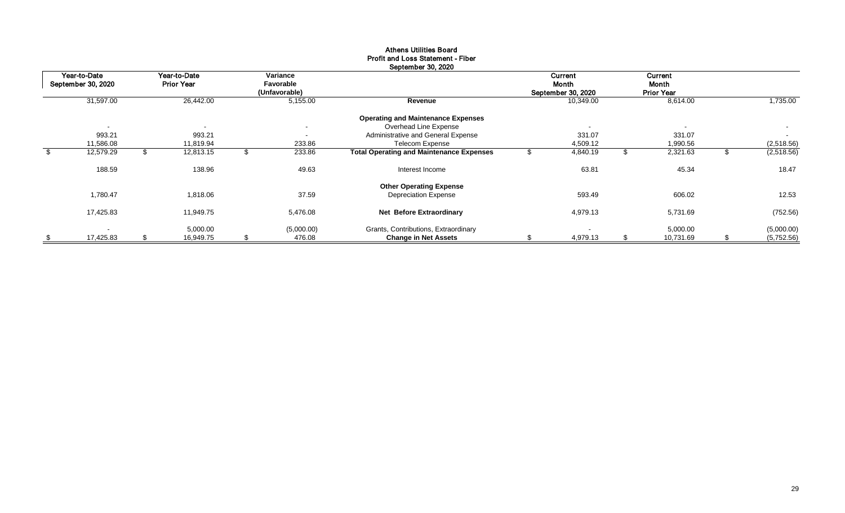| Year-to-Date<br>September 30, 2020 | Year-to-Date<br><b>Prior Year</b> | Variance<br>Favorable<br>(Unfavorable) |                                                 | Current<br>Month<br>September 30, 2020 |     | Current<br>Month<br><b>Prior Year</b> |     |            |
|------------------------------------|-----------------------------------|----------------------------------------|-------------------------------------------------|----------------------------------------|-----|---------------------------------------|-----|------------|
| 31,597.00                          | 26,442.00                         | 5,155.00                               | Revenue                                         | 10,349.00                              |     | 8,614.00                              |     | 1,735.00   |
|                                    |                                   |                                        | <b>Operating and Maintenance Expenses</b>       |                                        |     |                                       |     |            |
| $\overline{\phantom{a}}$           | $\overline{\phantom{a}}$          | $\sim$                                 | Overhead Line Expense                           |                                        |     | $\sim$                                |     | $\sim$     |
| 993.21                             | 993.21                            | $\blacksquare$                         | Administrative and General Expense              | 331.07                                 |     | 331.07                                |     | $\sim$     |
| 11,586.08                          | 11,819.94                         | 233.86                                 | Telecom Expense                                 | 4,509.12                               |     | 1,990.56                              |     | (2,518.56) |
| 12,579.29                          | 12,813.15                         | 233.86                                 | <b>Total Operating and Maintenance Expenses</b> | 4,840.19                               |     | 2,321.63                              |     | (2,518.56) |
| 188.59                             | 138.96                            | 49.63                                  | Interest Income                                 | 63.81                                  |     | 45.34                                 |     | 18.47      |
|                                    |                                   |                                        | <b>Other Operating Expense</b>                  |                                        |     |                                       |     |            |
| 1,780.47                           | 1,818.06                          | 37.59                                  | <b>Depreciation Expense</b>                     | 593.49                                 |     | 606.02                                |     | 12.53      |
| 17,425.83                          | 11,949.75                         | 5,476.08                               | <b>Net Before Extraordinary</b>                 | 4,979.13                               |     | 5,731.69                              |     | (752.56)   |
| $\overline{\phantom{a}}$           | 5,000.00                          | (5,000.00)                             | Grants, Contributions, Extraordinary            |                                        |     | 5,000.00                              |     | (5,000.00) |
| \$<br>17,425.83                    | \$<br>16,949.75                   | \$<br>476.08                           | <b>Change in Net Assets</b>                     | 4,979.13                               | \$. | 10,731.69                             | \$. | (5,752.56) |

#### Athens Utilities Board Profit and Loss Statement - Fiber September 30, 2020